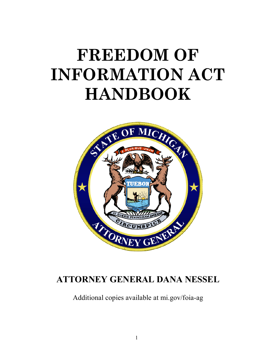# **FREEDOM OF INFORMATION ACT HANDBOOK**



# **ATTORNEY GENERAL DANA NESSEL**

Additional copies available at mi.gov/foia-ag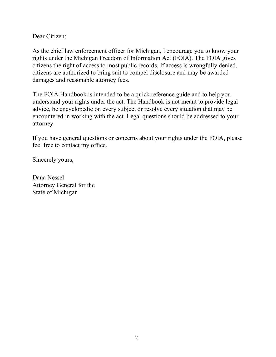Dear Citizen:

As the chief law enforcement officer for Michigan, I encourage you to know your rights under the Michigan Freedom of Information Act (FOIA). The FOIA gives citizens the right of access to most public records. If access is wrongfully denied, citizens are authorized to bring suit to compel disclosure and may be awarded damages and reasonable attorney fees.

The FOIA Handbook is intended to be a quick reference guide and to help you understand your rights under the act. The Handbook is not meant to provide legal advice, be encyclopedic on every subject or resolve every situation that may be encountered in working with the act. Legal questions should be addressed to your attorney.

If you have general questions or concerns about your rights under the FOIA, please feel free to contact my office.

Sincerely yours,

Dana Nessel Attorney General for the State of Michigan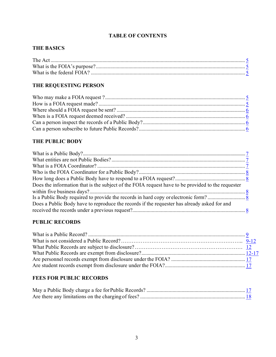# **TABLE OF CONTENTS**

#### **THE BASICS**

# **[THE REQUESTING PERSON](#page-4-1)**

#### **[THE PUBLIC BODY](#page-6-0)**

| Does the information that is the subject of the FOIA request have to be provided to the requester |  |
|---------------------------------------------------------------------------------------------------|--|
|                                                                                                   |  |
|                                                                                                   |  |
| Does a Public Body have to reproduce the records if the requester has already asked for and       |  |
|                                                                                                   |  |

#### **[PUBLIC RECORDS](#page-8-0)**

#### **FEES FOR PUBLIC RECORDS**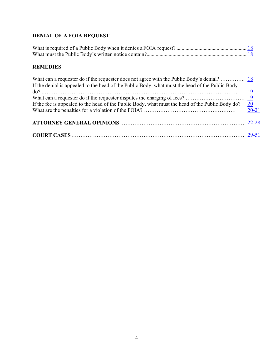# **DENIAL OF A FOIA REQUEST**

# **REMEDIES**

| What can a requester do if the requester does not agree with the Public Body's denial?  18<br>If the denial is appealed to the head of the Public Body, what must the head of the Public Body |           |
|-----------------------------------------------------------------------------------------------------------------------------------------------------------------------------------------------|-----------|
|                                                                                                                                                                                               |           |
|                                                                                                                                                                                               |           |
| If the fee is appealed to the head of the Public Body, what must the head of the Public Body do?                                                                                              | 20        |
|                                                                                                                                                                                               | $20 - 21$ |
|                                                                                                                                                                                               |           |
|                                                                                                                                                                                               |           |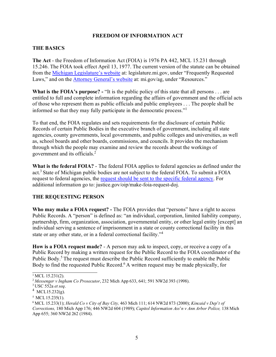#### **FREEDOM OF INFORMATION ACT**

#### <span id="page-4-0"></span>**THE BASICS**

**The Act** - the Freedom of Information Act (FOIA) is 1976 PA 442, MCL 15.231 through 15.246. The FOIA took effect April 13, 1977. The current version of the statute can be obtained from the [Michigan Legislature's website](http://www.legislature.mi.gov/) at: legislature.mi.gov, under "Frequently Requested Laws," and on the [Attorney General's website](http://www.michigan.gov/ag) at: mi.gov/ag, under "Resources."

What is the FOIA's purpose? - "It is the public policy of this state that all persons . . . are entitled to full and complete information regarding the affairs of government and the official acts of those who represent them as public officials and public employees . . . The people shall be informed so that they may fully participate in the democratic process."[1](#page-4-2)

To that end, the FOIA regulates and sets requirements for the disclosure of certain Public Records of certain Public Bodies in the executive branch of government, including all state agencies, county governments, local governments, and public colleges and universities, as well as, school boards and other boards, commissions, and councils. It provides the mechanism through which the people may examine and review the records about the workings of government and its officials[.2](#page-4-3)

What is the federal FOIA? - The federal FOIA applies to federal agencies as defined under the act[.3 S](#page-4-3)tate of Michigan public bodies are not subject to the federal FOIA. To submit a FOIA request to federal agencies, the [request should be sent to the specific federal agency. F](https://www.justice.gov/oip/make-foia-request-doj)or additional information go to: justice.gov/oip/make-foia-request-doj.

#### <span id="page-4-1"></span>**THE REQUESTING PERSON**

**Who may make a FOIA request? -** The FOIA provides that "persons" have a right to access Public Records. A "person" is defined as: "an individual, corporation, limited liability company, partnership, firm, organization, association, governmental entity, or other legal entity [except] an individual serving a sentence of imprisonment in a state or county correctional facility in this state or any other state, or in a federal correctional facility."<sup>[4](#page-4-4)</sup>

**How is a FOIA request made?** - A person may ask to inspect, copy, or receive a copy of a Public Record by making a written request for the Public Record to the FOIA coordinator of the Public Body.<sup>5</sup> The request must describe the Public Record sufficiently to enable the Public Body to find the requested Public Record.<sup>6</sup> A written request may be made physically, for

<span id="page-4-2"></span> $1$  MCL 15.231(2).

<span id="page-4-3"></span><sup>2</sup>*Messenger v Ingham Co Prosecutor*, 232 Mich App 633, 641; 591 NW2d 393 (1998). 3 USC 552a *et seq*. 4 MCL15.232(g).

<span id="page-4-4"></span>

<span id="page-4-6"></span><span id="page-4-5"></span> $5$  MCL 15.235(1).

<sup>6</sup> MCL 15.233(1); *Herald Co v City of Bay City,* 463 Mich 111; 614 NW2d 873 (2000); *Kincaid v Dep*'*t of Corrections,* 180 Mich App 176; 446 NW2d 604 (1989); *Capitol Information Ass*'*n v Ann Arbor Police,* 138 Mich App 655; 360 NW2d 262 (1984).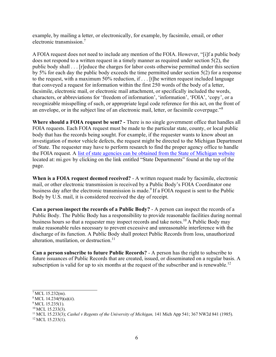example, by mailing a letter, or electronically, for example, by facsimile, email, or other electronic tr[ansmission.7](#page-5-0)

A FOIA request does not need to include any mention of the FOIA. However, "[i]f a public body does not respond to a written request in a timely manner as required under section 5(2), the public body shall . . . [r]educe the charges for labor costs otherwise permitted under this section by 5% for each day the public body exceeds the time permitted under section 5(2) for a response to the request, with a maximum 50% reduction, if . . . [t]he written request included language that conveyed a request for information within the first 250 words of the body of a letter, facsimile, electronic mail, or electronic mail attachment, or specifically included the words, characters, or abbreviations for 'freedom of information', 'information', 'FOIA', 'copy', or a recognizable misspelling of such, or appropriate legal code reference for this act, on the front of an envelope, or in the subject line of an electronic mail, letter, or facsimile coverpage."[8](#page-5-1)

**Where should a FOIA request be sent? -** There is no single government office that handles all FOIA requests. Each FOIA request must be made to the particular state, county, or local public body that has the records being sought. For example, if the requester wants to know about an investigation of motor vehicle defects, the request might be directed to the Michigan Department of State. The requester may have to perform research to find the proper agency office to handle the FOIA request. A [list of state agencies can be obtained from the State of Michigan website](https://www.michigan.gov/som/0%2C4669%2C7-192-29701_29702_30045---%2C00.html) located at: mi.gov by clicking on the link entitled "State Departments" found at the top of the page.

**When is a FOIA request deemed received?** - A written request made by facsimile, electronic mail, or other electronic transmission is received by a Public Body's FOIA Coordinator one business day after the electronic transmission is made.<sup>9</sup> If a FOIA request is sent to the Public Body by U.S. mail, it is considered received the day of receipt.

**Can a person inspect the records of a Public Body?** - A person can inspect the records of a Public Body. The Public Body has a responsibility to provide reasonable facilities during normal business hours so that a requester may inspect records and take notes.<sup>10</sup> A Public Body may make reasonable rules necessary to prevent excessive and unreasonable interference with the discharge of its function. A Public Body shall protect Public Records from loss, unauthorized alteration, mutilation, or destruction. [11](#page-5-2)

**Can a person subscribe to future Public Records?** - A person has the right to subscribe to future issuances of Public Records that are created, issued, or disseminated on a regular basis. A subscription is valid for up to six months at the request of the subscriber and is renewable.<sup>[12](#page-5-3)</sup>

<span id="page-5-0"></span> $7$  MCL 15.232(m).

<span id="page-5-1"></span><sup>8</sup> MCL 14.234(9)(a)(*ii*).

 $9$  MCL 15.235(1).

<span id="page-5-2"></span> $10$  MCL 15.233(3).

<sup>11</sup> MCL 15.233(3); *Cashel v Regents of the University of Michigan,* 141 Mich App 541; 367 NW2d 841 (1985).

<span id="page-5-3"></span> $12$  MCL 15.233(1).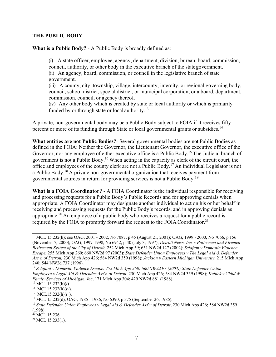#### <span id="page-6-0"></span>**THE PUBLIC BODY**

**What is a Public Body?** - A Public Body is broadly defined as:

(i) A state officer, employee, agency, department, division, bureau, board, commission, council, authority, or other body in the executive branch of the stategovernment. (ii) An agency, board, commission, or council in the legislative branch of state government.

(iii) A county, city, township, village, intercounty, intercity, or regional governing body, council, school district, special district, or municipal corporation, or a board, department, commission, council, or agency thereof.

(iv) Any other body which is created by state or local authority or which is primarily funded by or through state or local authority.<sup>13</sup>

A private, non-governmental body may be a Public Body subject to FOIA if it receives fifty percent or more of its funding through State or local governmental grants or subsidies.<sup>14</sup>

**What entities are not Public Bodies?**- Several governmental bodies are not Public Bodies as defined in the FOIA: Neither the Governor, the Lieutenant Governor, the executive office of the Governor, nor any employee of either executive office is a Public Body.<sup>15</sup> The Judicial branch of government is not a Public Body[.16 W](#page-6-4)hen acting in the capacity as clerk of the circuit court, the office and employees of the county clerk are not a Public Body.<sup>17</sup> An individual Legislator is not a Public Body[.18 A](#page-6-5) private non-governmental organization that receives payment from governmental sources in return for providing services is not a Public Body.<sup>[19](#page-6-5)</sup>

**What is a FOIA Coordinator?** - A FOIA Coordinator is the individual responsible for receiving and processing requests for a Public Body's Public Records and for approving denials when appropriate. A FOIA Coordinator may designate another individual to act on his or her behalf in receiving and processing requests for the Public Body's records, and in approving denials as appropriate.<sup>20</sup> An employee of a public body who receives a request for a public record is required by the FOIA to promptly forward the request to the FOIA Coordinator.<sup>21</sup>

<span id="page-6-2"></span><span id="page-6-1"></span><sup>13</sup> MCL 15.232(h); see OAG, 2001 - 2002, No 7087, p 45 (August 21, 2001); OAG, 1999 - 2000, No 7066, p 156 (November 7, 2000); OAG, 1997-1998, No 6942, p 40 (July 3, 1997); *Detroit News, Inc. v Policemen and Firemen Retirement System of the City of Detroit,* 252 Mich App 59; 651 NW2d 127 (2002); *Sclafani v Domestic Violence Escape,* 255 Mich App 260; 660 NW2d 97 (2003); *State Defender Union Employees v The Legal Aid & Defender Ass'n of Detroit,* 230 Mich App 426; 584 NW2d 359 (1998); *Jackson v Eastern Michigan University,* 215 Mich App 240; 544 NW2d 737 (1996).

<sup>14</sup>*Sclafani v Domestic Violence Escape, 255 Mich App 260; 660 NW2d 97 (2003); State Defender Union Employees v Legal Aid & Defender Ass*'*n of Detroit*, 230 Mich App 426; 584 NW2d 359 (1998); *Kubick v Child & Family Services of Michigan, Inc*, 171 Mich App 304; 429 NW2d 881 (1988). 15 MCL 15.232(h)(*i*).

<span id="page-6-4"></span><span id="page-6-3"></span>

<sup>16</sup> MCL15.232(h)(*iv*).

<span id="page-6-5"></span><sup>17</sup> MCL15.232(h)(*iv*).

<span id="page-6-6"></span><sup>18</sup> MCL 15.232(d), OAG, 1985 - 1986, No 6390, p 375 (September 26, 1986).

<sup>19</sup>*State Defender Union Employees v Legal Aid & Defender Ass*'*n of Detroit*, 230 Mich App 426; 584 NW2d 359 (1998).

<span id="page-6-7"></span> $20$  MCL 15.236.

 $21$  MCL 15.233(1).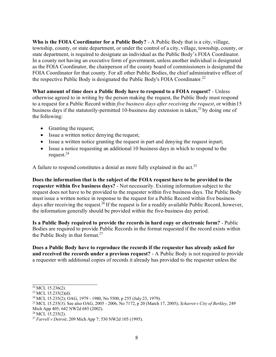**Who is the FOIA Coordinator for a Public Body?** - A Public Body that is a city, village, township, county, or state department, or under the control of a city, village, township, county, or state department, is required to designate an individual as the Public Body's FOIA Coordinator. In a county not having an executive form of government, unless another individual is designated as the FOIA Coordinator, the chairperson of the county board of commissioners is designated the FOIA Coordinator for that county. For all other Public Bodies, the chief administrative officer of the respective Public Body is designated the Public Body's FOIA Coordinator.<sup>[22](#page-7-0)</sup>

**What amount of time does a Public Body have to respond to a FOIA request?** - Unless otherwise agreed to in writing by the person making the request, the Public Body must respond to a request for a Public Record within *five business days after receiving the request*, or within15 business days if the statutorily-permitted 10-business day extension is taken,<sup>23</sup> by doing one of the following:

- Granting the request;
- Issue a written notice denying the request;
- Issue a written notice granting the request in part and denying the request inpart;
- Issue a notice requesting an additional 10 business days in which to respond to the reques[t.24](#page-7-1)

A failure to respond constitutes a denial as more fully explained in the act.<sup>25</sup>

**Does the information that is the subject of the FOIA request have to be provided to the requester within five business days?** - Not necessarily. Existing information subject to the request does not have to be provided to the requester within five business days. The Public Body must issue a written notice in response to the request for a Public Record within five business days after receiving the request.<sup>26</sup> If the request is for a readily available Public Record, however, the information generally should be provided within the five-business day period.

**Is a Public Body required to provide the records in hard copy or electronic form?** - Public Bodies are required to provide Public Records in the format requested if the record exists within the Public Body in that format. $27$ 

**Does a Public Body have to reproduce the records if the requester has already asked for and received the records under a previous request?** - A Public Body is not required to provide a requester with additional copies of records it already has provided to the requester unless the

<span id="page-7-0"></span> $22$  MCL 15.236(2).

<span id="page-7-1"></span> $23$  MCL 15.235(2)(d).

<sup>&</sup>lt;sup>24</sup> MCL 15.235(2); OAG, 1979 - 1980, No 5500, p 255 (July 23, 1979).

<sup>25</sup> MCL 15.235(3). See also OAG, 2005 - 2006, No 7172, p 20 (March 17, 2005); *Scharret v City of Berkley*, 249 Mich App 405; 642 NW2d 685 (2002).

<span id="page-7-2"></span> $26$  MCL 15.235(2).

<sup>27</sup> *Farrell v Detroit*, 209 Mich App 7; 530 NW2d 105 (1995).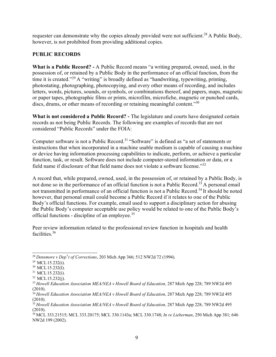requester can demonstrate why the copies already provided were not sufficient.<sup>28</sup> A Public Body, however, is not prohibited from providing additional copies.

#### <span id="page-8-0"></span>**PUBLIC RECORDS**

**What is a Public Record? -** A Public Record means "a writing prepared, owned, used, in the possession of, or retained by a Public Body in the performance of an official function, from the time it is created."<sup>29</sup> A "writing" is broadly defined as "handwriting, typewriting, printing, photostating, photographing, photocopying, and every other means of recording, and includes letters, words, pictures, sounds, or symbols, or combinations thereof, and papers, maps, magnetic or paper tapes, photographic films or prints, microfilm, microfiche, magnetic or punched cards, discs, drums, or other means of recording or retaining meaningful content."<sup>[30](#page-8-3)</sup>

**What is not considered a Public Record? -** The legislature and courts have designated certain records as not being Public Records. The following are examples of records that are not considered "Public Records" under the FOIA:

Computer software is not a Public Record.<sup>31</sup> "Software" is defined as "a set of statements or instructions that when incorporated in a machine usable medium is capable of causing a machine or device having information processing capabilities to indicate, perform, or achieve a particular function, task, or result. Software does not include computer-stored information or data, or a field name if disclosure of that field name does not violate a software license."[32](#page-8-5)

A record that, while prepared, owned, used, in the possession of, or retained by a Public Body, is not done so in the performance of an official function is not a Public Record.<sup>33</sup> A personal email not transmitted in performance of an official function is not a Public Record.<sup>34</sup> It should be noted however, that personal email could become a Public Record if it relates to one of the Public Body's official functions. For example, email used to support a disciplinary action for abusing the Public Body's computer acceptable use policy would be related to one of the Public Body's official functions - discipline of an employee[.35](#page-8-8)

Peer review information related to the professional review function in hospitals and health facilities[.36](#page-8-9)

<span id="page-8-1"></span><sup>28</sup>*Densmore v Dep*'*t of Corrections*, 203 Mich App 366; 512 NW2d 72 (1994).

<span id="page-8-3"></span><span id="page-8-2"></span> $29$  MCL 15.232(i).

<sup>30</sup> MCL15.232(l).

<span id="page-8-5"></span><span id="page-8-4"></span> $31$  MCL 15.232(i).

 $32$  MCL 15.232(j).

<span id="page-8-7"></span><span id="page-8-6"></span><sup>&</sup>lt;sup>33</sup> Howell Education Association MEA/NEA v Howell Board of Education, 287 Mich App 228; 789 NW2d 495 (2010).

<span id="page-8-8"></span><sup>&</sup>lt;sup>34</sup> Howell Education Association MEA/NEA v Howell Board of Education, 287 Mich App 228; 789 NW2d 495 (2010).

<span id="page-8-9"></span><sup>&</sup>lt;sup>35</sup> Howell Education Association MEA/NEA v Howell Board of Education, 287 Mich App 228; 789 NW2d 495 (2010).

<sup>36</sup> MCL 333.21515; MCL 333.20175; MCL 330.1143a; MCL 330.1748; *In re Lieberman*, 250 Mich App 381; 646 NW2d 199 (2002).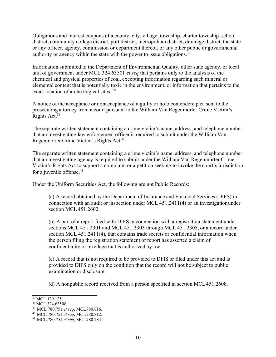Obligations and interest coupons of a county, city, village, township, charter township, school district, community college district, port district, metropolitan district, drainage district, the state or any officer, agency, commission or department thereof, or any other public or governmental authority or agency within the state with the power to issue obligations.<sup>37</sup>

Information submitted to the Department of Environmental Quality, other state agency, or local unit of government under MCL 324.63501 *et seq* that pertains only to the analysis of the chemical and physical properties of coal, excepting information regarding such mineral or elemental content that is potentially toxic in the environment, or information that pertains to the exact location of archeological sites .<sup>38</sup>

A notice of the acceptance or nonacceptance of a guilty or nolo contendere plea sent to the prosecuting attorney from a court pursuant to the William Van Regenmorter Crime Victim's Rights Act[.39](#page-9-1)

The separate written statement containing a crime victim's name, address, and telephone number that an investigating law enforcement officer is required to submit under the William Van Regenmorter Crime Victim's Rights Act.<sup>40</sup>

The separate written statement containing a crime victim's name, address, and telephone number that an investigating agency is required to submit under the William Van Regenmorter Crime Victim's Rights Act to support a complaint or a petition seeking to invoke the court's jurisdiction for a juvenile offense. $41$ 

Under the Uniform Securities Act, the following are not Public Records:

(a) A record obtained by the Department of Insurance and Financial Services (DIFS) in connection with an audit or inspection under MCL 451.2411(4) or an investigationunder section MCL 451.2602.

(b) A part of a report filed with DIFS in connection with a registration statement under sections MCL 451.2301 and MCL 451.2303 through MCL 451.2305, or a record under section MCL 451.2411(4), that contains trade secrets or confidential information when the person filing the registration statement or report has asserted a claim of confidentiality or privilege that is authorized bylaw.

(c) A record that is not required to be provided to DFIS or filed under this act and is provided to DIFS only on the condition that the record will not be subject to public examination or disclosure.

(d) A nonpublic record received from a person specified in section MCL451.2608.

<span id="page-9-0"></span> $37$  MCL 129.125.

<sup>38</sup> MCL 324.63508.

<span id="page-9-2"></span><span id="page-9-1"></span><sup>39</sup> MCL 780.751 *et seq*, MCL780.816.

<sup>40</sup> MCL 780.751 *et seq*, MCL780.812.

<span id="page-9-3"></span><sup>41</sup> MCL 780.751 *et seq*, MCL780.784.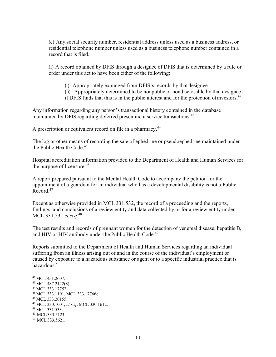(e) Any social security number, residential address unless used as a business address, or residential telephone number unless used as a business telephone number contained in a record that is filed.

(f) A record obtained by DFIS through a designee of DFIS that is determined by a rule or order under this act to have been either of the following:

- (i) Appropriately expunged from DFIS's records by that designee.
- (ii) Appropriately determined to be nonpublic or nondisclosable by that designee
- if DFIS finds that this is in the public interest and for the protection of investors.<sup>42</sup>

Any information regarding any person's transactional history contained in the database maintained by DFIS regarding deferred presentment service transactions.<sup>43</sup>

A prescription or equivalent record on file in a pharmacy.<sup>44</sup>

The log or other means of recording the sale of ephedrine or pseudoephedrine maintained under the Public Health Code[.45](#page-10-1)

Hospital accreditation information provided to the Department of Health and Human Services for the purpose of licensure.<sup>46</sup>

A report prepared pursuant to the Mental Health Code to accompany the petition for the appointment of a guardian for an individual who has a developmental disability is not a Public Record.<sup>47</sup>

Except as otherwise provided in MCL 331.532, the record of a proceeding and the reports, findings, and conclusions of a review entity and data collected by or for a review entity under MCL 331.531 *et seq*. [48](#page-10-3)

The test results and records of pregnant women for the detection of venereal disease, hepatitis B, and HIV or HIV antibody under the Public Health Code.<sup>49</sup>

Reports submitted to the Department of Health and Human Services regarding an individual suffering from an illness arising out of and in the course of the individual's employment or caused by exposure to a hazardous substance or agent or to a specific industrial practice that is hazardous.<sup>50</sup>

<span id="page-10-4"></span>49 MCL333.5123.

<span id="page-10-0"></span><sup>42</sup> MCL 451.2607.

<span id="page-10-1"></span><sup>&</sup>lt;sup>43</sup> MCL 487.2142(8).

<sup>44</sup> MCL 333.17752.

<span id="page-10-2"></span><sup>45</sup> MCL 333.1101, MCL 333.17766e.

<sup>46</sup> MCL 333.20155.

<sup>47</sup> MCL 330.1001, *et seq*, MCL 330.1612.

<span id="page-10-3"></span><sup>48</sup> MCL 331.533.

<sup>50</sup> MCL333.5621.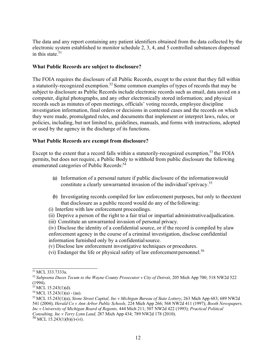The data and any report containing any patient identifiers obtained from the data collected by the electronic system established to monitor schedule 2, 3, 4, and 5 controlled substances dispensed in this state. [51](#page-11-0)

#### **What Public Records are subject to disclosure?**

The FOIA requires the disclosure of all Public Records, except to the extent that they fall within a statutorily-recognized exemption[.52 S](#page-11-1)ome common examples of types of records that may be subject to disclosure as Public Records include electronic records such as email, data saved on a computer, digital photographs, and any other electronically stored information; and physical records such as minutes of open meetings, officials' voting records, employee discipline investigation information, final orders or decisions in contested cases and the records on which they were made, promulgated rules, and documents that implement or interpret laws, rules, or policies, including, but not limited to, guidelines, manuals, and forms with instructions, adopted or used by the agency in the discharge of its functions.

#### **What Public Records are exempt from disclosure?**

Except to the extent that a record falls within a statutorily-recognized exemption,<sup>53</sup> the FOIA permits, but does not require, a Public Body to withhold from public disclosure the following enumerated categories of Public Records:<sup>54</sup>

- (a) Information of a personal nature if public disclosure of the informationwould constitute a clearly unwarranted invasion of the individual'sprivacy[.55](#page-11-3)
- (b) Investigating records compiled for law enforcement purposes, but only to theextent that disclosure as a public record would do any of the following:
- (i) Interfere with law enforcement proceedings.
- (ii) Deprive a person of the right to a fair trial or impartial administrativeadjudication.
- (iii) Constitute an unwarranted invasion of personal privacy.

(iv) Disclose the identity of a confidential source, or if the record is compiled by alaw enforcement agency in the course of a criminal investigation, disclose confidential information furnished only by a confidentialsource.

- (v) Disclose law enforcement investigative techniques or procedures.
- <span id="page-11-4"></span>(vi) Endanger the life or physical safety of law enforcement personnel.<sup>56</sup>

<span id="page-11-1"></span><span id="page-11-0"></span><sup>&</sup>lt;sup>51</sup> MCL 333.7333a.

<sup>&</sup>lt;sup>52</sup> Subpoena Duces Tecum to the Wayne County Prosecutor v City of Detroit, 205 Mich App 700; 518 NW2d 522 (1994).

<span id="page-11-2"></span><sup>53</sup> MCL 15.243(1)(d).

<span id="page-11-3"></span> $54$  MCL 15.243(1)(a) - (aa).

<sup>55</sup> MCL 15.243(1)(a); *Stone Street Capital, Inc v Michigan Bureau of State Lottery*, 263 Mich App 683; 689 NW2d 541 (2004); *Herald Co v Ann Arbor Public Schools,* 224 Mich App 266; 568 NW2d 411 (1997); *Booth Newspapers, Inc v University of Michigan Board of Regents,* 444 Mich 211; 507 NW2d 422 (1993); *Practical Political Consulting, Inc v Terry Lynn Land,* 287 Mich App 434; 789 NW2d 178 (2010). 56 MCL 15.243(1)(b)(*i*)-(*vi*).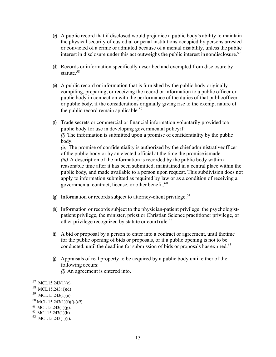- (c) A public record that if disclosed would prejudice a public body's ability to maintain the physical security of custodial or penal institutions occupied by persons arrested or convicted of a crime or admitted because of a mental disability, unless the public interest in disclosure under this act outweighs the public interest innondisclosur[e.](#page-12-0) 57
- (d) Records or information specifically described and exempted from disclosure by statute.<sup>58</sup>
- (e) A public record or information that is furnished by the public body originally compiling, preparing, or receiving the record or information to a public officer or public body in connection with the performance of the duties of that publicofficer or public body, if the considerations originally giving rise to the exempt nature of the public record remain applicable.<sup>59</sup>
- (f) Trade secrets or commercial or financial information voluntarily provided toa public body for use in developing governmental policyif: *(i)* The information is submitted upon a promise of confidentiality by the public body. *(ii)* The promise of confidentiality is authorized by the chief administrativeofficer of the public body or by an elected official at the time the promise ismade.

*(iii)* A description of the information is recorded by the public body within a reasonable time after it has been submitted, maintained in a central place within the public body, and made available to a person upon request. This subdivision does not apply to information submitted as required by law or as a condition of receiving a governmental contract, license, or other benefit.<sup>60</sup>

- (g) Information or records subject to attorney-client privilege. $61$
- (h) Information or records subject to the physician-patient privilege, the psychologistpatient privilege, the minister, priest or Christian Science practitioner privilege, or other privilege recognized by statute or court rule.<sup>62</sup>
- (i) A bid or proposal by a person to enter into a contract or agreement, until thetime for the public opening of bids or proposals, or if a public opening is not to be conducted, until the deadline for submission of bids or proposals has expired.<sup>63</sup>
- (j) Appraisals of real property to be acquired by a public body until either of the following occurs:
	- *(i)* An agreement is entered into.

<span id="page-12-0"></span> $57$  MCL15.243(1)(c).

<span id="page-12-1"></span><sup>58</sup> MCL15.243(1)(d)

<span id="page-12-2"></span> $59$  MCL15.243(1)(e).

<span id="page-12-3"></span><sup>60</sup> MCL 15.243(1)(f)(*i*)-(*iii*).

<span id="page-12-4"></span> $^{61}$  MCL15.243(1)(g).

<span id="page-12-5"></span> $62$  MCL15.243(1)(h).

<span id="page-12-6"></span><sup>63</sup> MCL15.243(1)(i).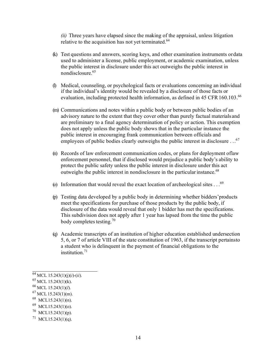*(ii)* Three years have elapsed since the making of the appraisal, unless litigation relative to the acquisition has not vet terminated.<sup>64</sup>

- (k) Test questions and answers, scoring keys, and other examination instruments ordata used to administer a license, public employment, or academic examination, unless the public interest in disclosure under this act outweighs the public interest in nondisclosure[.65](#page-13-1)
- (l) Medical, counseling, or psychological facts or evaluations concerning an individual if the individual's identity would be revealed by a disclosure of those facts or evaluation, including protected health information, as defined in 45 CFR 160.103.<sup>66</sup>
- (m) Communications and notes within a public body or between public bodies of an advisory nature to the extent that they cover other than purely factual materialsand are preliminary to a final agency determination of policy or action. This exemption does not apply unless the public body shows that in the particular instance the public interest in encouraging frank communication between officials and employees of public bodies clearly outweighs the public interest in disclosure . ..<sup>[67](#page-13-3)</sup>
- (n) Records of law enforcement communication codes, or plans for deployment oflaw enforcement personnel, that if disclosed would prejudice a public body's ability to protect the public safety unless the public interest in disclosure under this act outweighs the public interest in nondisclosure in the particular instance.<sup>68</sup>
- (o) Information that would reveal the exact location of archeological sites  $\dots$ <sup>[69](#page-13-5)</sup>
- (p) Testing data developed by a public body in determining whether bidders'products meet the specifications for purchase of those products by the public body, if disclosure of the data would reveal that only 1 bidder has met the specifications. This subdivision does not apply after 1 year has lapsed from the time the public body completes testing.<sup>70</sup>
- (q) Academic transcripts of an institution of higher education established undersection 5, 6, or 7 of article VIII of the state constitution of 1963, if the transcript pertainsto a student who is delinquent in the payment of financial obligations to the [institution.71](#page-13-7)

<span id="page-13-4"></span> $^{68}$  MCL15.243(1)(n).

<span id="page-13-6"></span> $70$  MCL15.243(1)(p).

<span id="page-13-0"></span><sup>64</sup> MCL 15.243(1)(j)(*i*)-(*ii*).

<span id="page-13-1"></span> $^{65}$  MCL 15.243(1)(k).

<span id="page-13-2"></span><sup>66</sup> MCL 15.243(1)(*l*).

<span id="page-13-3"></span> $^{67}$  MCL 15.243(1)(m).

<span id="page-13-5"></span> $^{69}$  MCL15.243(1)(o).

<span id="page-13-7"></span> $71$  MCL15.243(1)(q).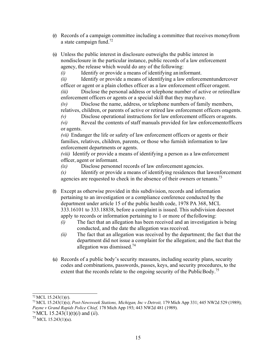- (r) Records of a campaign committee including a committee that receives moneyfrom a state campaign fund.<sup>72</sup>
- (s) Unless the public interest in disclosure outweighs the public interest in nondisclosure in the particular instance, public records of a law enforcement agency, the release which would do any of the following:

*(i)* Identify or provide a means of identifying an informant.

*(ii)* Identify or provide a means of identifying a law enforcementundercover officer or agent or a plain clothes officer as a law enforcement officer oragent.

*(iii)* Disclose the personal address or telephone number of active or retiredlaw enforcement officers or agents or a special skill that they mayhave.

*(iv)* Disclose the name, address, or telephone numbers of family members, relatives, children, or parents of active or retired law enforcement officers oragents.

*(v)* Disclose operational instructions for law enforcement officers or agents. *(vi)* Reveal the contents of staff manuals provided for law enforcementofficers

or agents.

*(vii)* Endanger the life or safety of law enforcement officers or agents or their families, relatives, children, parents, or those who furnish information to law enforcement departments or agents.

*(viii)* Identify or provide a means of identifying a person as a lawenforcement officer, agent or informant.

*(ix)* Disclose personnel records of law enforcement agencies.

*(x)* Identify or provide a means of identifying residences that lawenforcement agencies are requested to check in the absence of their owners or tenants.<sup>73</sup>

- (t) Except as otherwise provided in this subdivision, records and information pertaining to an investigation or a compliance conference conducted by the department under article 15 of the public health code, 1978 PA 368, MCL 333.16101 to 333.18838, before a complaint is issued. This subdivision doesnot apply to records or information pertaining to 1 or more of thefollowing:
	- *(i)* The fact that an allegation has been received and an investigation is being conducted, and the date the allegation was received.
	- *(ii)* The fact that an allegation was received by the department; the fact that the department did not issue a complaint for the allegation; and the fact that the allegation was dismissed.<sup>74</sup>
- (u) Records of a public body's security measures, including security plans, security codes and combinations, passwords, passes, keys, and security procedures, to the extent that the records relate to the ongoing security of the PublicBody.<sup>75</sup>

<span id="page-14-0"></span> $72$  MCL 15.243(1)(r).

<span id="page-14-1"></span><sup>73</sup> MCL 15.243(1)(s); *Post-Newsweek Stations, Michigan, Inc v Detroit,* 179 Mich App 331; 445 NW2d 529 (1989); *Payne v Grand Rapids Police Chief,* 178 Mich App 193; 443 NW2d 481 (1989).

<sup>74</sup> MCL 15.243(1)(t)(*i*) and (*ii*).

<span id="page-14-2"></span> $^{75}$  MCL 15.243(1)(u).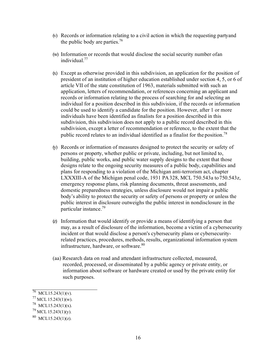- (v) Records or information relating to a civil action in which the requesting partyand the public body are parties.<sup>76</sup>
- (w) Information or records that would disclose the social security number ofan individu[al.77](#page-15-1)
- (x) Except as otherwise provided in this subdivision, an application for the position of president of an institution of higher education established under section 4, 5, or 6 of article VII of the state constitution of 1963, materials submitted with such an application, letters of recommendation, or references concerning an applicant and records or information relating to the process of searching for and selecting an individual for a position described in this subdivision, if the records or information could be used to identify a candidate for the position. However, after 1 or more individuals have been identified as finalists for a position described in this subdivision, this subdivision does not apply to a public record described in this subdivision, except a letter of recommendation or reference, to the extent that the public record relates to an individual identified as a finalist for the position[.78](#page-15-2)
- (y) Records or information of measures designed to protect the security or safety of persons or property, whether public or private, including, but not limited to, building, public works, and public water supply designs to the extent that those designs relate to the ongoing security measures of a public body, capabilities and plans for responding to a violation of the Michigan anti-terrorism act, chapter LXXXIII-A of the Michigan penal code, 1931 PA 328, MCL 750.543a to 750.543z, emergency response plans, risk planning documents, threat assessments, and domestic preparedness strategies, unless disclosure would not impair a public body's ability to protect the security or safety of persons or property or unless the public interest in disclosure outweighs the public interest in nondisclosure in the particular instance[.79](#page-15-3)
- (z) Information that would identify or provide a means of identifying a person that may, as a result of disclosure of the information, become a victim of a cybersecurity incident or that would disclose a person's cybersecurity plans or cybersecurityrelated practices, procedures, methods, results, organizational information system infrastructure, hardware, or software.<sup>80</sup>
- (aa) Research data on road and attendant infrastructure collected, measured, recorded, processed, or disseminated by a public agency or private entity, or information about software or hardware created or used by the private entity for such purposes.

<span id="page-15-0"></span> $\frac{76}{10}$  MCL15.243(1)(v).

<span id="page-15-1"></span> $77$  MCL 15.243(1)(w).

<span id="page-15-2"></span><sup>78</sup> MCL15.243(1)(x).

<span id="page-15-3"></span> $^{79}$  MCL 15.243(1)(y).

<span id="page-15-4"></span><sup>80</sup> MCL15.243(1)(z).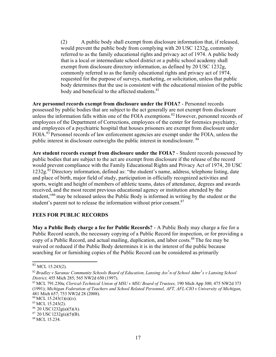(2) A public body shall exempt from disclosure information that, if released, would prevent the public body from complying with 20 USC 1232g, commonly referred to as the family educational rights and privacy act of 1974. A public body that is a local or intermediate school district or a public school academy shall exempt from disclosure directory information, as defined by 20 USC 1232g, commonly referred to as the family educational rights and privacy act of 1974, requested for the purpose of surveys, marketing, or solicitation, unless that public body determines that the use is consistent with the educational mission of the public body and beneficial to the affected students.<sup>81</sup>

**Are personnel records exempt from disclosure under the FOIA?** - Personnel records possessed by public bodies that are subject to the act generally are not exempt from disclosure unless the information falls within one of the FOIA exemptions.<sup>82</sup> However, personnel records of employees of the Department of Corrections, employees of the center for forensics psychiatry, and employees of a psychiatric hospital that houses prisoners are exempt from disclosure under FOIA.<sup>83</sup> Personnel records of law enforcement agencies are exempt under the FOIA, unless the public interest in disclosure outweighs the public interest in nondisclosure. [84](#page-16-4)

**Are student records exempt from disclosure under the FOIA?** - Student records possessed by public bodies that are subject to the act are exempt from disclosure if the release of the record would prevent compliance with the Family Educational Rights and Privacy Act of 1974, 20 USC 1232g[.85 D](#page-16-4)irectory information, defined as: "the student's name, address, telephone listing, date and place of birth, major field of study, participation in officially recognized activities and sports, weight and height of members of athletic teams, dates of attendance, degrees and awards received, and the most recent previous educational agency or institution attended by the student,"<sup>86</sup> may be released unless the Public Body is informed in writing by the student or the student's parent not to release the information without prior consent.<sup>87</sup>

#### <span id="page-16-0"></span>**FEES FOR PUBLIC RECORDS**

**May a Public Body charge a fee for Public Records?** - A Public Body may charge a fee for a Public Record search, the necessary copying of a Public Record for inspection, or for providing a copy of a Public Record, and actual mailing, duplication, and labor costs.<sup>88</sup> The fee may be waived or reduced if the Public Body determines it is in the interest of the public because searching for or furnishing copies of the Public Record can be considered as primarily

<span id="page-16-1"></span> $81$  MCL 15.243(2).

<span id="page-16-3"></span><span id="page-16-2"></span><sup>82</sup>*Bradley v Saranac Community Schools Board of Education, Lansing Ass*'*n of School Admr*'*s v Lansing School District,* 455 Mich 285; 565 NW2d 650 (1997).

<span id="page-16-4"></span><sup>83</sup> MCL 791.230a; *Clerical-Technical Union of MSU v MSU Board of Trustees,* 190 Mich App 300; 475 NW2d 373 (1991); *Michigan Federation of Teachers and School Related Personnel, AFT, AFL-CIO v University of Michigan*, 481 Mich 657; 753 NW2d 28 (2008).

<sup>84</sup> MCL 15.243(1)(s)(*ix*).

<sup>85</sup> MCL 15.243(2).

<span id="page-16-5"></span> $86$  20 USC1232g(a)(5)(A).

 $87$  20 USC 1232g(a)(5)(B).

<span id="page-16-6"></span><sup>88</sup> MCL 15.234.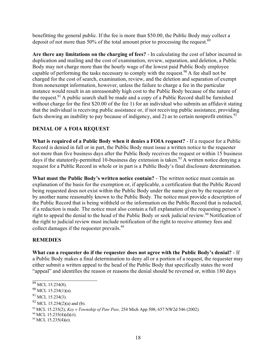benefitting the general public. If the fee is more than \$50.00, the Public Body may collect a deposit of not more than 50% of the total amount prior to processing the request.<sup>89</sup>

**Are there any limitations on the charging of fees?** - In calculating the cost of labor incurred in duplication and mailing and the cost of examination, review, separation, and deletion, a Public Body may not charge more than the hourly wage of the lowest paid Public Body employee capable of performing the tasks necessary to comply with the request.<sup>90</sup> A fee shall not be charged for the cost of search, examination, review, and the deletion and separation of exempt from nonexempt information, however, unless the failure to charge a fee in the particular instance would result in an unreasonably high cost to the Public Body because of the nature of the request.<sup>91</sup> A public search shall be made and a copy of a Public Record shall be furnished without charge for the first \$20.00 of the fee 1) for an individual who submits an affidavit stating that the individual is receiving public assistance or, if not receiving public assistance, providing facts showing an inability to pay because of indigency, and 2) as to certain nonprofit entities.<sup>[92](#page-17-5)</sup>

#### <span id="page-17-0"></span>**DENIAL OF A FOIA REQUEST**

**What is required of a Public Body when it denies a FOIA request?** - If a request for a Public Record is denied in full or in part, the Public Body must issue a written notice to the requester not more than five business days after the Public Body receives the request or within 15 business days if the statutorily-permitted 10-business day extension is taken.<sup>93</sup> A written notice denying a request for a Public Record in whole or in part is a Public Body's final disclosure determination.

**What must the Public Body's written notice contain?** - The written notice must contain an explanation of the basis for the exemption or, if applicable, a certification that the Public Record being requested does not exist within the Public Body under the name given by the requester or by another name reasonably known to the Public Body. The notice must provide a description of the Public Record that is being withheld or the information on the Public Record that is redacted, if a redaction is made. The notice must also contain a full explanation of the requesting person's right to appeal the denial to the head of the Public Body or seek judicial review.<sup>94</sup> Notification of the right to judicial review must include notification of the right to receive attorney fees and collect damages if the requester prevails.<sup>95</sup>

#### <span id="page-17-1"></span>**REMEDIES**

**What can a requester do if the requester does not agree with the Public Body's denial?** - If a Public Body makes a final determination to deny all or a portion of a request, the requester may either submit a written appeal to the head of the Public Body that specifically states the word "appeal" and identifies the reason or reasons the denial should be reversed or, within 180 days

<span id="page-17-2"></span> $89$  MCL 15.234(8).

<span id="page-17-3"></span> $90$  MCL 15.234(1)(a).

<span id="page-17-4"></span> $91$  MCL 15.234(3).

<span id="page-17-5"></span> $92$  MCL 15.234(2)(a) and (b).

<span id="page-17-7"></span><span id="page-17-6"></span><sup>93</sup> MCL 15.235(2); *Key v Township of Paw Paw,* 254 Mich App 508; 657 NW2d 546 (2002).

<sup>94</sup> MCL 15.235(4)(d)(*ii*).

 $95$  MCL 15.235(4)(e).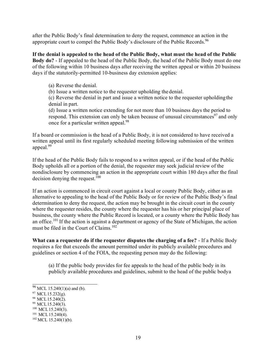after the Public Body's final determination to deny the request, commence an action in the appropriate court to compel the Public Body's disclosure of the Public Records.<sup>96</sup>

**If the denial is appealed to the head of the Public Body, what must the head of the Public Body do?** - If appealed to the head of the Public Body, the head of the Public Body must do one of the following within 10 business days after receiving the written appeal or within 20 business days if the statutorily-permitted 10-business day extension applies:

(a) Reverse the denial.

(b) Issue a written notice to the requester upholding the denial.

(c) Reverse the denial in part and issue a written notice to the requester upholdingthe denial in part.

(d) Issue a written notice extending for not more than 10 business days the period to respond. This extension can only be taken because of unusual circumstances<sup>97</sup> and only once for a particular written appeal.<sup>98</sup>

If a board or commission is the head of a Public Body, it is not considered to have received a written appeal until its first regularly scheduled meeting following submission of the written appeal[.99](#page-18-2)

If the head of the Public Body fails to respond to a written appeal, or if the head of the Public Body upholds all or a portion of the denial, the requester may seek judicial review of the nondisclosure by commencing an action in the appropriate court within 180 days after the final decision denying the request.<sup>100</sup>

If an action is commenced in circuit court against a local or county Public Body, either as an alternative to appealing to the head of the Public Body or for review of the Public Body's final determination to deny the request, the action may be brought in the circuit court in the county where the requester resides, the county where the requester has his or her principal place of business, the county where the Public Record is located, or a county where the Public Body has an office[.101 I](#page-18-4)f the action is against a department or agency of the State of Michigan, the action must be filed in the Court of Claims. [102](#page-18-4)

**What can a requester do if the requester disputes the charging of a fee?** - If a Public Body requires a fee that exceeds the amount permitted under its publicly available procedures and guidelines or section 4 of the FOIA, the requesting person may do the following:

(a) If the public body provides for fee appeals to the head of the public body in its publicly available procedures and guidelines, submit to the head of the public bodya

<span id="page-18-3"></span> $100$  MCL 15.240(3).

<span id="page-18-1"></span><span id="page-18-0"></span> $\frac{96}{96}$  MCL 15.240(1)(a) and (b).

<span id="page-18-2"></span> $97$  MCL 15.232(g).

<sup>98</sup> MCL 15.240(2).

 $99$  MCL 15.240(3).

<span id="page-18-4"></span> $101$  MCL 15.240(4).

 $102$  MCL 15.240(1)(b).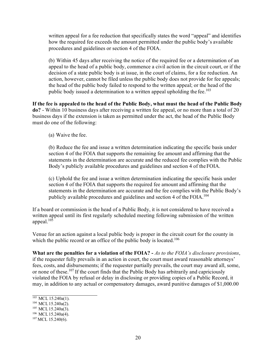written appeal for a fee reduction that specifically states the word "appeal" and identifies how the required fee exceeds the amount permitted under the public body's available procedures and guidelines or section 4 of the FOIA.

(b) Within 45 days after receiving the notice of the required fee or a determination of an appeal to the head of a public body, commence a civil action in the circuit court, or if the decision of a state public body is at issue, in the court of claims, for a fee reduction. An action, however, cannot be filed unless the public body does not provide for fee appeals; the head of the public body failed to respond to the written appeal; or the head of the public body issued a determination to a written appeal upholding the fee.<sup>103</sup>

**If the fee is appealed to the head of the Public Body, what must the head of the Public Body do?** - Within 10 business days after receiving a written fee appeal, or no more than a total of 20 business days if the extension is taken as permitted under the act, the head of the Public Body must do one of the following:

(a) Waive the fee.

(b) Reduce the fee and issue a written determination indicating the specific basis under section 4 of the FOIA that supports the remaining fee amount and affirming that the statements in the determination are accurate and the reduced fee complies with the Public Body's publicly available procedures and guidelines and section 4 of the FOIA.

(c) Uphold the fee and issue a written determination indicating the specific basis under section 4 of the FOIA that supports the required fee amount and affirming that the statements in the determination are accurate and the fee complies with the Public Body's publicly available procedures and guidelines and section 4 of the FOIA.<sup>104</sup>

If a board or commission is the head of a Public Body, it is not considered to have received a written appeal until its first regularly scheduled meeting following submission of the written appeal. $10\overline{5}$ 

Venue for an action against a local public body is proper in the circuit court for the county in which the public record or an office of the public body is located.<sup>[106](#page-19-2)</sup>

**What are the penalties for a violation of the FOIA? -** *As to the FOIA's disclosure provisions*, if the requester fully prevails in an action in court, the court must award reasonable attorneys' fees, costs, and disbursements; if the requester partially prevails, the court may award all, some, or none of these.<sup>107</sup> If the court finds that the Public Body has arbitrarily and capriciously violated the FOIA by refusal or delay in disclosing or providing copies of a Public Record, it may, in addition to any actual or compensatory damages, award punitive damages of \$1,000.00

<span id="page-19-0"></span> $103$  MCL 15.240a(1).

<span id="page-19-1"></span><sup>&</sup>lt;sup>104</sup> MCL 15.240a(2).

<sup>&</sup>lt;sup>105</sup> MCL 15.240a(3).

<span id="page-19-3"></span><span id="page-19-2"></span> $106$  MCL 15.240a(4).

 $107$  MCL 15.240(6).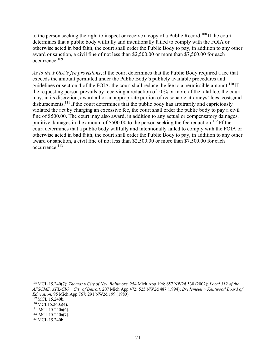to the person seeking the right to inspect or receive a copy of a Public Record.<sup>108</sup> If the court determines that a public body willfully and intentionally failed to comply with the FOIA or otherwise acted in bad faith, the court shall order the Public Body to pay, in addition to any other award or sanction, a civil fine of not less than \$2,500.00 or more than \$7,500.00 for each occurrence[.109](#page-20-1)

*As to the FOIA's fee provisions*, if the court determines that the Public Body required a fee that exceeds the amount permitted under the Public Body's publicly available procedures and guidelines or section 4 of the FOIA, the court shall reduce the fee to a permissible amount.<sup>110</sup> If the requesting person prevails by receiving a reduction of 50% or more of the total fee, the court may, in its discretion, award all or an appropriate portion of reasonable attorneys' fees, costs,and disbursements.<sup>111</sup> If the court determines that the public body has arbitrarily and capriciously violated the act by charging an excessive fee, the court shall order the public body to pay a civil fine of \$500.00. The court may also award, in addition to any actual or compensatory damages, punitive damages in the amount of \$500.00 to the person seeking the fee reduction.<sup>112</sup> Ff the court determines that a public body willfully and intentionally failed to comply with the FOIA or otherwise acted in bad faith, the court shall order the Public Body to pay, in addition to any other award or sanction, a civil fine of not less than \$2,500.00 or more than \$7,500.00 for each occurrence[.113](#page-20-4)

<span id="page-20-2"></span><span id="page-20-1"></span><span id="page-20-0"></span><sup>108</sup> MCL 15.240(7); *Thomas v City of New Baltimore,* 254 Mich App 196; 657 NW2d 530 (2002); *Local 312 of the AFSCME, AFL-CIO v City of Detroit,* 207 Mich App 472; 525 NW2d 487 (1994); *Bredemeier v Kentwood Board of Education*, 95 Mich App 767; 291 NW2d 199 (1980). 109 MCL 15.240b.

<span id="page-20-3"></span>

 $110$  MCL15.240a(4).

 $111$  MCL 15.240a(6).

<span id="page-20-4"></span><sup>112</sup> MCL15.240a(7).

<sup>113</sup> MCL 15.240b.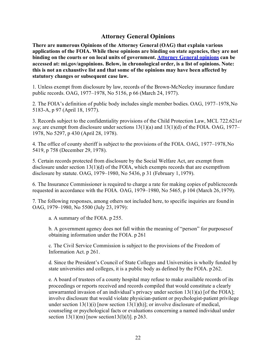# **Attorney General Opinions**

<span id="page-21-0"></span>**There are numerous Opinions of the Attorney General (OAG) that explain various applications of the FOIA. While these opinions are binding on state agencies, they are not binding on the courts or on local units of government. [Attorney General opinions](http://www.michigan.gov/agopinions) can be accessed at: mi.gov/agopinions. Below, in chronological order, is a list of opinions. Note: this is not an exhaustive list and that some of the opinions may have been affected by statutory changes or subsequent case law.**

1. Unless exempt from disclosure by law, records of the Brown-McNeeley insurance fundare public records. OAG, 1977–1978, No 5156, p 66 (March 24, 1977).

2. The FOIA's definition of public body includes single member bodies. OAG, 1977–1978,No 5183-A, p 97 (April 18, 1977).

3. Records subject to the confidentiality provisions of the Child Protection Law, MCL 722.621*et seq*; are exempt from disclosure under sections 13(1)(a) and 13(1)(d) of the FOIA. OAG, 1977– 1978, No 5297, p 430 (April 28, 1978).

4. The office of county sheriff is subject to the provisions of the FOIA. OAG, 1977–1978,No 5419, p 758 (December 29, 1978).

5. Certain records protected from disclosure by the Social Welfare Act, are exempt from disclosure under section 13(1)(d) of the FOIA, which exempts records that are exemptfrom disclosure by statute. OAG, 1979–1980, No 5436, p 31 (February 1,1979).

6. The Insurance Commissioner is required to charge a rate for making copies of publicrecords requested in accordance with the FOIA. OAG, 1979–1980, No 5465, p 104 (March 26,1979).

7. The following responses, among others not included here, to specific inquiries are foundin OAG, 1979–1980, No 5500 (July 23, 1979):

a. A summary of the FOIA. p 255.

b. A government agency does not fall within the meaning of "person" for purposesof obtaining information under the FOIA. p 261

c. The Civil Service Commission is subject to the provisions of the Freedom of Information Act. p 261.

d. Since the President's Council of State Colleges and Universities is wholly funded by state universities and colleges, it is a public body as defined by the FOIA. p 262.

e. A board of trustees of a county hospital may refuse to make available records of its proceedings or reports received and records compiled that would constitute a clearly unwarranted invasion of an individual's privacy under section  $13(1)(a)$  [of the FOIA]; involve disclosure that would violate physician-patient or psychologist-patient privilege under section  $13(1)(i)$  [now section  $13(1)(h)$ ]; or involve disclosure of medical, counseling or psychological facts or evaluations concerning a named individual under section  $13(1)(m)$  [now section  $13(l)(l)$ ]. p 263.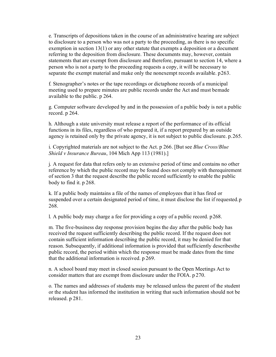e. Transcripts of depositions taken in the course of an administrative hearing are subject to disclosure to a person who was not a party to the proceeding, as there is no specific exemption in section 13(1) or any other statute that exempts a deposition or a document referring to the deposition from disclosure. These documents may, however, contain statements that are exempt from disclosure and therefore, pursuant to section 14, where a person who is not a party to the proceeding requests a copy, it will be necessary to separate the exempt material and make only the nonexempt records available. p263.

f. Stenographer's notes or the tape recordings or dictaphone records of a municipal meeting used to prepare minutes are public records under the Act and must bemade available to the public. p 264.

g. Computer software developed by and in the possession of a public body is not a public record. p 264.

h. Although a state university must release a report of the performance of its official functions in its files, regardless of who prepared it, if a report prepared by an outside agency is retained only by the private agency, it is not subject to public disclosure. p.265.

i. Copyrighted materials are not subject to the Act. p 266. [But see *Blue Cross/Blue Shield v Insurance Bureau*, 104 Mich App 113 (1981).]

j. A request for data that refers only to an extensive period of time and contains no other reference by which the public record may be found does not comply with therequirement of section 3 that the request describe the public record sufficiently to enable the public body to find it. p 268.

k. If a public body maintains a file of the names of employees that it has fired or suspended over a certain designated period of time, it must disclose the list if requested.p 268.

l. A public body may charge a fee for providing a copy of a public record. p268.

m. The five-business day response provision begins the day after the public body has received the request sufficiently describing the public record. If the request does not contain sufficient information describing the public record, it may be denied for that reason. Subsequently, if additional information is provided that sufficiently describesthe public record, the period within which the response must be made dates from the time that the additional information is received. p 269.

n. A school board may meet in closed session pursuant to the Open Meetings Act to consider matters that are exempt from disclosure under the FOIA. p 270.

o. The names and addresses of students may be released unless the parent of the student or the student has informed the institution in writing that such information should not be released. p 281.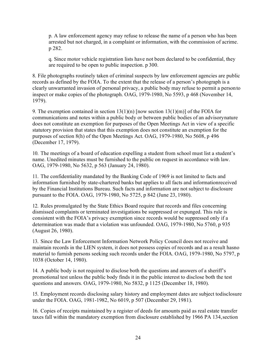p. A law enforcement agency may refuse to release the name of a person who has been arrested but not charged, in a complaint or information, with the commission of acrime. p 282.

q. Since motor vehicle registration lists have not been declared to be confidential, they are required to be open to public inspection. p 300.

8. File photographs routinely taken of criminal suspects by law enforcement agencies are public records as defined by the FOIA. To the extent that the release of a person's photograph is a clearly unwarranted invasion of personal privacy, a public body may refuse to permit a personto inspect or make copies of the photograph. OAG, 1979-1980, No 5593, p 468 (November 14, 1979).

9. The exemption contained in section  $13(1)(n)$  [now section  $13(1)(m)$ ] of the FOIA for communications and notes within a public body or between public bodies of an advisorynature does not constitute an exemption for purposes of the Open Meetings Act in view of a specific statutory provision that states that this exemption does not constitute an exemption for the purposes of section 8(h) of the Open Meetings Act. OAG, 1979-1980, No 5608, p 496 (December 17, 1979).

10. The meetings of a board of education expelling a student from school must list a student's name. Unedited minutes must be furnished to the public on request in accordance with law. OAG, 1979-1980, No 5632, p 563 (January 24, 1980).

11. The confidentiality mandated by the Banking Code of 1969 is not limited to facts and information furnished by state-chartered banks but applies to all facts and informationreceived by the Financial Institutions Bureau. Such facts and information are not subject to disclosure pursuant to the FOIA. OAG, 1979-1980, No 5725, p 842 (June 23, 1980).

12. Rules promulgated by the State Ethics Board require that records and files concerning dismissed complaints or terminated investigations be suppressed or expunged. This rule is consistent with the FOIA's privacy exemption since records would be suppressed only if a determination was made that a violation was unfounded. OAG, 1979-1980, No 5760, p 935 (August 26, 1980).

13. Since the Law Enforcement Information Network Policy Council does not receive and maintain records in the LIEN system, it does not possess copies of records and as a result hasno material to furnish persons seeking such records under the FOIA. OAG, 1979-1980, No 5797, p 1038 (October 14, 1980).

14. A public body is not required to disclose both the questions and answers of a sheriff's promotional test unless the public body finds it in the public interest to disclose both the test questions and answers. OAG, 1979-1980, No 5832, p 1125 (December 18, 1980).

15. Employment records disclosing salary history and employment dates are subject todisclosure under the FOIA. OAG, 1981-1982, No 6019, p 507 (December 29, 1981).

16. Copies of receipts maintained by a register of deeds for amounts paid as real estate transfer taxes fall within the mandatory exemption from disclosure established by 1966 PA 134,section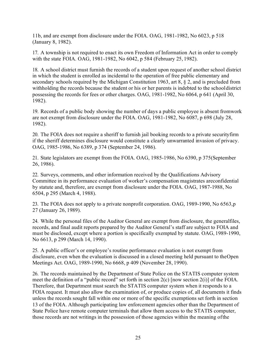11b, and are exempt from disclosure under the FOIA. OAG, 1981-1982, No 6023, p 518 (January 8, 1982).

17. A township is not required to enact its own Freedom of Information Act in order to comply with the state FOIA. OAG, 1981-1982, No 6042, p 584 (February 25, 1982).

18. A school district must furnish the records of a student upon request of another school district in which the student is enrolled as incidental to the operation of free public elementary and secondary schools required by the Michigan Constitution 1963, art 8, § 2, and is precluded from withholding the records because the student or his or her parents is indebted to the schooldistrict possessing the records for fees or other charges. OAG, 1981-1982, No 6064, p 641 (April 30, 1982).

19. Records of a public body showing the number of days a public employee is absent fromwork are not exempt from disclosure under the FOIA. OAG, 1981-1982, No 6087, p 698 (July 28, 1982).

20. The FOIA does not require a sheriff to furnish jail booking records to a private securityfirm if the sheriff determines disclosure would constitute a clearly unwarranted invasion of privacy. OAG, 1985-1986, No 6389, p 374 (September 24, 1986).

21. State legislators are exempt from the FOIA. OAG, 1985-1986, No 6390, p 375(September 26, 1986).

22. Surveys, comments, and other information received by the Qualifications Advisory Committee in its performance evaluation of worker's compensation magistrates areconfidential by statute and, therefore, are exempt from disclosure under the FOIA. OAG, 1987-1988, No 6504, p 295 (March 4, 1988).

23. The FOIA does not apply to a private nonprofit corporation. OAG, 1989-1990, No 6563,p 27 (January 26, 1989).

24. While the personal files of the Auditor General are exempt from disclosure, the generalfiles, records, and final audit reports prepared by the Auditor General's staff are subject to FOIA and must be disclosed, except where a portion is specifically exempted by statute. OAG, 1989-1990, No 6613, p 299 (March 14, 1990).

25. A public officer's or employee's routine performance evaluation is not exempt from disclosure, even when the evaluation is discussed in a closed meeting held pursuant to theOpen Meetings Act. OAG, 1989-1990, No 6668, p 409 (November 28, 1990).

26. The records maintained by the Department of State Police on the STATIS computer system meet the definition of a "public record" set forth in section  $2(c)$  [now section  $2(i)$ ] of the FOIA. Therefore, that Department must search the STATIS computer system when it responds to a FOIA request. It must also allow the examination of, or produce copies of, all documents it finds unless the records sought fall within one or more of the specific exemptions set forth in section 13 of the FOIA. Although participating law enforcement agencies other than the Department of State Police have remote computer terminals that allow them access to the STATIS computer, those records are not writings in the possession of those agencies within the meaning ofthe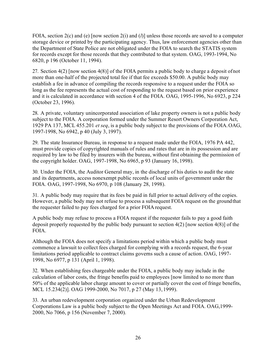FOIA, section 2(c) and (e) [now section 2(i) and (*l*)] unless those records are saved to a computer storage device or printed by the participating agency. Thus, law enforcement agencies other than the Department of State Police are not obligated under the FOIA to search the STATIS system for records except for those records that they contributed to that system. OAG, 1993-1994, No 6820, p 196 (October 11, 1994).

27. Section 4(2) [now section 4(8)] of the FOIA permits a public body to charge a deposit ofnot more than one-half of the projected total fee if that fee exceeds \$50.00. A public body may establish a fee in advance of compiling the records responsive to a request under the FOIA so long as the fee represents the actual cost of responding to the request based on prior experience and it is calculated in accordance with section 4 of the FOIA. OAG, 1995-1996, No 6923, p 224 (October 23, 1996).

28. A private, voluntary unincorporated association of lake property owners is not a public body subject to the FOIA. A corporation formed under the Summer Resort Owners Corporation Act, 1929 PA 137, MCL 455.201 *et seq*, is a public body subject to the provisions of the FOIA.OAG, 1997-1998, No 6942, p 40 (July 3, 1997).

29. The state Insurance Bureau, in response to a request made under the FOIA, 1976 PA 442, must provide copies of copyrighted manuals of rules and rates that are in its possession and are required by law to be filed by insurers with the bureau, without first obtaining the permission of the copyright holder. OAG, 1997-1998, No 6965, p 93 (January 16, 1998).

30. Under the FOIA, the Auditor General may, in the discharge of his duties to audit the state and its departments, access nonexempt public records of local units of government under the FOIA. OAG, 1997-1998, No 6970, p 108 (January 28, 1998).

31. A public body may require that its fees be paid in full prior to actual delivery of the copies. However, a public body may not refuse to process a subsequent FOIA request on the groundthat the requester failed to pay fees charged for a prior FOIA request.

A public body may refuse to process a FOIA request if the requester fails to pay a good faith deposit properly requested by the public body pursuant to section 4(2) [now section 4(8)] of the FOIA.

Although the FOIA does not specify a limitations period within which a public body must commence a lawsuit to collect fees charged for complying with a records request, the 6-year limitations period applicable to contract claims governs such a cause of action. OAG, 1997- 1998, No 6977, p 131 (April 1, 1998).

32. When establishing fees chargeable under the FOIA, a public body may include in the calculation of labor costs, the fringe benefits paid to employees [now limited to no more than 50% of the applicable labor charge amount to cover or partially cover the cost of fringe benefits, MCL 15.234(2)]. OAG 1999-2000, No 7017, p 27 (May 13,1999).

33. An urban redevelopment corporation organized under the Urban Redevelopment Corporations Law is a public body subject to the Open Meetings Act and FOIA. OAG,1999- 2000, No 7066, p 156 (November 7, 2000).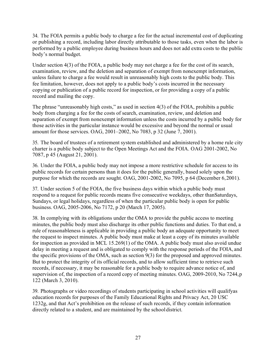34. The FOIA permits a public body to charge a fee for the actual incremental cost of duplicating or publishing a record, including labor directly attributable to those tasks, even when the labor is performed by a public employee during business hours and does not add extra costs to the public body's normal budget.

Under section 4(3) of the FOIA, a public body may not charge a fee for the cost of its search, examination, review, and the deletion and separation of exempt from nonexempt information, unless failure to charge a fee would result in unreasonably high costs to the public body. This fee limitation, however, does not apply to a public body's costs incurred in the necessary copying or publication of a public record for inspection, or for providing a copy of a public record and mailing the copy.

The phrase "unreasonably high costs," as used in section 4(3) of the FOIA, prohibits a public body from charging a fee for the costs of search, examination, review, and deletion and separation of exempt from nonexempt information unless the costs incurred by a public body for those activities in the particular instance would be excessive and beyond the normal or usual amount for those services. OAG, 2001–2002, No 7083, p 32 (June 7, 2001).

35. The board of trustees of a retirement system established and administered by a home rule city charter is a public body subject to the Open Meetings Act and the FOIA. OAG 2001-2002, No 7087, p 45 (August 21, 2001).

36. Under the FOIA, a public body may not impose a more restrictive schedule for access to its public records for certain persons than it does for the public generally, based solely upon the purpose for which the records are sought. OAG, 2001-2002, No 7095, p 64 (December 6,2001).

37. Under section 5 of the FOIA, the five business days within which a public body must respond to a request for public records means five consecutive weekdays, other thanSaturdays, Sundays, or legal holidays, regardless of when the particular public body is open for public business. OAG, 2005-2006, No 7172, p 20 (March 17, 2005).

38. In complying with its obligations under the OMA to provide the public access to meeting minutes, the public body must also discharge its other public functions and duties. To that end, a rule of reasonableness is applicable in providing a public body an adequate opportunity to meet the request to inspect minutes. A public body must make at least a copy of its minutes available for inspection as provided in MCL 15.269(1) of the OMA. A public body must also avoid undue delay in meeting a request and is obligated to comply with the response periods of the FOIA, and the specific provisions of the OMA, such as section 9(3) for the proposed and approved minutes. But to protect the integrity of its official records, and to allow sufficient time to retrieve such records, if necessary, it may be reasonable for a public body to require advance notice of, and supervision of, the inspection of a record copy of meeting minutes. OAG, 2009-2010, No 7244, p 122 (March 3, 2010).

39. Photographs or video recordings of students participating in school activities will qualifyas education records for purposes of the Family Educational Rights and Privacy Act, 20 USC 1232g, and that Act's prohibition on the release of such records, if they contain information directly related to a student, and are maintained by the schooldistrict.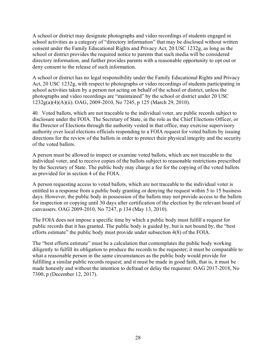A school or district may designate photographs and video recordings of students engaged in school activities as a category of "directory information" that may be disclosed without written consent under the Family Educational Rights and Privacy Act, 20 USC 1232g, as long as the school or district provides the required notice to parents that such media will be considered directory information, and further provides parents with a reasonable opportunity to opt out or deny consent to the release of such information.

A school or district has no legal responsibility under the Family Educational Rights and Privacy Act, 20 USC 1232g, with respect to photographs or video recordings of students participating in school activities taken by a person not acting on behalf of the school or district, unless the photographs and video recordings are "maintained" by the school or district under 20 USC 1232g(a)(4)(A)(ii). OAG, 2009-2010, No 7245, p 125 (March 29, 2010).

40. Voted ballots, which are not traceable to the individual voter, are public records subject to disclosure under the FOIA. The Secretary of State, in the role as the Chief Elections Officer, or the Director of Elections through the authority vested in that office, may exercise supervisory authority over local elections officials responding to a FOIA request for voted ballots by issuing directions for the review of the ballots in order to protect their physical integrity and the security of the voted ballots.

A person must be allowed to inspect or examine voted ballots, which are not traceable to the individual voter, and to receive copies of the ballots subject to reasonable restrictions prescribed by the Secretary of State. The public body may charge a fee for the copying of the voted ballots as provided for in section 4 of the FOIA.

A person requesting access to voted ballots, which are not traceable to the individual voter is entitled to a response from a public body granting or denying the request within 5 to 15 business days. However, the public body in possession of the ballots may not provide access to the ballots for inspection or copying until 30 days after certification of the election by the relevant board of canvassers. OAG 2009-2010, No 7247, p 134 (May 13, 2010).

The FOIA does not impose a specific time by which a public body must fulfill a request for public records that it has granted. The public body is guided by, but is not bound by, the "best efforts estimate" the public body must provide under subsection 4(8) of the FOIA.

The "best efforts estimate" must be a calculation that contemplates the public body working diligently to fulfill its obligation to produce the records to the requester; it must be comparable to what a reasonable person in the same circumstances as the public body would provide for fulfilling a similar public records request; and it must be made in good faith, that is, it must be made honestly and without the intention to defraud or delay the requester. OAG 2017-2018, No 7300, p (December 12, 2017).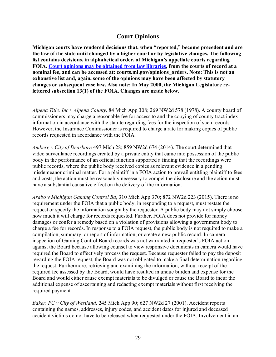### **Court Opinions**

<span id="page-28-0"></span>**Michigan courts have rendered decisions that, when "reported," become precedent and are the law of the state until changed by a higher court or by legislative changes. The following list contains decisions, in alphabetical order, of Michigan's appellate courts regarding FOIA. [Court opinions may be obtained from law libraries,](https://courts.michigan.gov/opinions_orders/Pages/default.aspx) from the courts of record at a nominal fee, and can be accessed at: courts.mi.gov/opinions\_orders. Note: This is not an exhaustive list and, again, some of the opinions may have been affected by statutory changes or subsequent case law. Also note: In May 2000, the Michigan Legislature relettered subsection 13(1) of the FOIA. Changes are made below.**

*Alpena Title, Inc v Alpena County,* 84 Mich App 308; 269 NW2d 578 (1978). A county board of commissioners may charge a reasonable fee for access to and the copying of county tract index information in accordance with the statute regarding fees for the inspection of such records. However, the Insurance Commissioner is required to charge a rate for making copies of public records requested in accordance with the FOIA.

*Amberg v City of Dearborn* 497 Mich 28; 859 NW2d 674 (2014). The court determined that video surveillance recordings created by a private entity that came into possession of the public body in the performance of an official function supported a finding that the recordings were public records, where the public body received copies as relevant evidence in a pending misdemeanor criminal matter. For a plaintiff in a FOIA action to prevail entitling plaintiff to fees and costs, the action must be reasonably necessary to compel the disclosure and the action must have a substantial causative effect on the delivery of the information.

*Arabo v Michigan Gaming Control Bd*, 310 Mich App 370; 872 NW2d 223 (2015). There is no requirement under the FOIA that a public body, in responding to a request, must restate the request or specify the information sought by the requester. A public body may not simply choose how much it will charge for records requested. Further, FOIA does not provide for money damages or confer a remedy based on a violation of provisions allowing a government body to charge a fee for records. In response to a FOIA request, the public body is not required to make a compilation, summary, or report of information, or create a new public record. In camera inspection of Gaming Control Board records was not warranted in requester's FOIA action against the Board because allowing counsel to view responsive documents in camera would have required the Board to effectively process the request. Because requester failed to pay the deposit regarding the FOIA request, the Board was not obligated to make a final determination regarding the request. Furthermore, retrieving and examining the information, without receipt of the required fee assessed by the Board, would have resulted in undue burden and expense for the Board and would either cause exempt materials to be divulged or cause the Board to incur the additional expense of ascertaining and redacting exempt materials without first receiving the required payment.

*Baker, PC v City of Westland,* 245 Mich App 90; 627 NW2d 27 (2001). Accident reports containing the names, addresses, injury codes, and accident dates for injured and deceased accident victims do not have to be released when requested under the FOIA. Involvement in an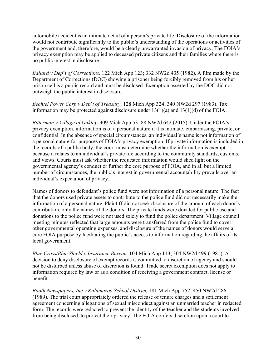automobile accident is an intimate detail of a person's private life. Disclosure of the information would not contribute significantly to the public's understanding of the operations or activities of the government and, therefore, would be a clearly unwarranted invasion of privacy. The FOIA's privacy exemption may be applied to deceased private citizens and their families where there is no public interest in disclosure.

*Ballard v Dep*'*t of Corrections,* 122 Mich App 123; 332 NW2d 435 (1982). A film made by the Department of Corrections (DOC) showing a prisoner being forcibly removed from his or her prison cell is a public record and must be disclosed. Exemption asserted by the DOC did not outweigh the public interest in disclosure.

*Bechtel Power Corp v Dep*'*t of Treasury,* 128 Mich App 324; 340 NW2d 297 (1983). Tax information may be protected against disclosure under 13(1)(a) and 13(1)(d) of the FOIA.

*Bitterman v Village of Oakley*, 309 Mich App 53; 88 NW2d 642 (2015). Under the FOIA's privacy exemption, information is of a personal nature if it is intimate, embarrassing, private, or confidential. In the absence of special circumstances, an individual's name is not information of a personal nature for purposes of FOIA's privacy exemption. If private information is included in the records of a public body, the court must determine whether the information is exempt because it relates to an individual's private life according to the community standards, customs, and views. Courts must ask whether the requested information would shed light on the governmental agency's conduct or further the core purpose of FOIA, and in all but a limited number of circumstances, the public's interest in governmental accountability prevails over an individual's expectation of privacy.

Names of donors to defendant's police fund were not information of a personal nature. The fact that the donors used private assets to contribute to the police fund did not necessarily make the information of a personal nature. Plaintiff did not seek disclosure of the amount of each donor's contribution, only the names of the donors. The private funds were donated for public use and donations to the police fund were not used solely to fund the police department. Village council meeting minutes reflected that large amounts were transferred from the police fund to cover other governmental operating expenses, and disclosure of the names of donors would serve a core FOIA purpose by facilitating the public's access to information regarding the affairs of its local government.

*Blue Cross/Blue Shield v Insurance Bureau,* 104 Mich App 113; 304 NW2d 499 (1981). A decision to deny disclosure of exempt records is committed to discretion of agency and should not be disturbed unless abuse of discretion is found. Trade secret exemption does not apply to information required by law or as a condition of receiving a government contract, license or benefit.

*Booth Newspapers, Inc v Kalamazoo School District,* 181 Mich App 752; 450 NW2d 286 (1989). The trial court appropriately ordered the release of tenure charges and a settlement agreement concerning allegations of sexual misconduct against an unmarried teacher in redacted form. The records were redacted to prevent the identity of the teacher and the students involved from being disclosed, to protect their privacy. The FOIA confers discretion upon a court to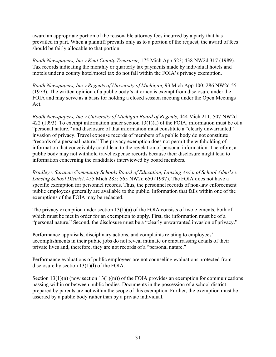award an appropriate portion of the reasonable attorney fees incurred by a party that has prevailed in part. When a plaintiff prevails only as to a portion of the request, the award of fees should be fairly allocable to that portion.

*Booth Newspapers, Inc v Kent County Treasurer,* 175 Mich App 523; 438 NW2d 317 (1989). Tax records indicating the monthly or quarterly tax payments made by individual hotels and motels under a county hotel/motel tax do not fall within the FOIA's privacy exemption.

*Booth Newspapers, Inc v Regents of University of Michigan,* 93 Mich App 100; 286 NW2d 55 (1979). The written opinion of a public body's attorney is exempt from disclosure under the FOIA and may serve as a basis for holding a closed session meeting under the Open Meetings Act.

*Booth Newspapers, Inc v University of Michigan Board of Regents,* 444 Mich 211; 507 NW2d 422 (1993). To exempt information under section 13(1)(a) of the FOIA, information must be of a "personal nature," and disclosure of that information must constitute a "clearly unwarranted" invasion of privacy. Travel expense records of members of a public body do not constitute "records of a personal nature." The privacy exemption does not permit the withholding of information that conceivably could lead to the revelation of personal information. Therefore, a public body may not withhold travel expense records because their disclosure might lead to information concerning the candidates interviewed by board members.

*Bradley v Saranac Community Schools Board of Education, Lansing Ass*'*n of School Admr*'*s v Lansing School District,* 455 Mich 285; 565 NW2d 650 (1997). The FOIA does not have a specific exemption for personnel records. Thus, the personnel records of non-law enforcement public employees generally are available to the public. Information that falls within one of the exemptions of the FOIA may be redacted.

The privacy exemption under section  $13(1)(a)$  of the FOIA consists of two elements, both of which must be met in order for an exemption to apply. First, the information must be of a "personal nature." Second, the disclosure must be a "clearly unwarranted invasion of privacy."

Performance appraisals, disciplinary actions, and complaints relating to employees' accomplishments in their public jobs do not reveal intimate or embarrassing details of their private lives and, therefore, they are not records of a "personal nature."

Performance evaluations of public employees are not counseling evaluations protected from disclosure by section 13(1)(l) of the FOIA.

Section  $13(1)(n)$  (now section  $13(1)(m)$ ) of the FOIA provides an exemption for communications passing within or between public bodies. Documents in the possession of a school district prepared by parents are not within the scope of this exemption. Further, the exemption must be asserted by a public body rather than by a private individual.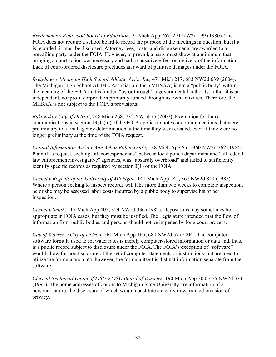*Bredemeier v Kentwood Board of Education*, 95 Mich App 767; 291 NW2d 199 (1980). The FOIA does not require a school board to record the purpose of the meetings in question, but if it is recorded, it must be disclosed. Attorney fees, costs, and disbursements are awarded to a prevailing party under the FOIA. However, to prevail, a party must show at a minimum that bringing a court action was necessary and had a causative effect on delivery of the information. Lack of court-ordered disclosure precludes an award of punitive damages under the FOIA.

*Breighner v Michigan High School Athletic Ass*'*n, Inc,* 471 Mich 217; 683 NW2d 639 (2004). The Michigan High School Athletic Association, Inc. (MHSAA) is not a "public body" within the meaning of the FOIA that is funded "by or through" a governmental authority, rather it is an independent, nonprofit corporation primarily funded through its own activities. Therefore, the MHSAA is not subject to the FOIA's provisions.

*Bukowski v City of Detroit*, 248 Mich 268; 732 NW2d 75 (2007). Exemption for frank communications in section  $13(1)(m)$  of the FOIA applies to notes or communications that were preliminary to a final agency determination at the time they were created, even if they were no longer preliminary at the time of the FOIA request.

*Capitol Information Ass*'*n v Ann Arbor Police Dep*'*t,* 138 Mich App 655; 360 NW2d 262 (1984). Plaintiff's request, seeking "all correspondence" between local police department and "all federal law enforcement/investigative" agencies, was "absurdly overbroad" and failed to sufficiently identify specific records as required by section 3(1) of the FOIA.

*Cashel v Regents of the University of Michigan,* 141 Mich App 541; 367 NW2d 841 (1985). Where a person seeking to inspect records will take more than two weeks to complete inspection, he or she may be assessed labor costs incurred by a public body to supervise his or her inspection.

*Cashel v Smith,* 117 Mich App 405; 324 NW2d 336 (1982). Depositions may sometimes be appropriate in FOIA cases, but they must be justified. The Legislature intended that the flow of information from public bodies and persons should not be impeded by long court process.

*City of Warren v City of Detroit,* 261 Mich App 165; 680 NW2d 57 (2004). The computer software formula used to set water rates is merely computer-stored information or data and, thus, is a public record subject to disclosure under the FOIA. The FOIA's exception of "software" would allow for nondisclosure of the set of computer statements or instructions that are used to utilize the formula and data; however, the formula itself is distinct information separate from the software.

*Clerical-Technical Union of MSU v MSU Board of Trustees,* 190 Mich App 300; 475 NW2d 373 (1991). The home addresses of donors to Michigan State University are information of a personal nature, the disclosure of which would constitute a clearly unwarranted invasion of privacy.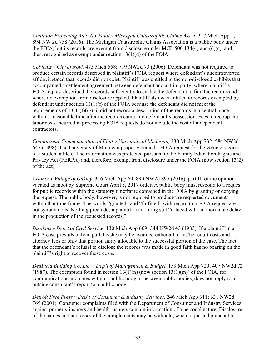*Coalition Protecting Auto No-Fault v Michigan Catastrophic Claims Ass'n*, 317 Mich App 1; 894 NW 2d 758 (2016). The Michigan Catastrophic Claims Association is a public body under the FOIA, but its records are exempt from disclosure under MCL 500.134(4) and (6)(c), and, thus, recognized as exempt under section 13(1)(d) of the FOIA.

*Coblentz v City of Novi,* 475 Mich 558; 719 NW2d 73 (2006). Defendant was not required to produce certain records described in plaintiff's FOIA request where defendant's uncontroverted affidavit stated that records did not exist. Plaintiff was entitled to the non-disclosed exhibits that accompanied a settlement agreement between defendant and a third party, where plaintiff's FOIA request described the records sufficiently to enable the defendant to find the records and where no exemption from disclosure applied. Plaintiff also was entitled to records exempted by defendant under section 13(1)(f) of the FOIA because the defendant did not meet the requirements of 13(1)(f)(*iii*); it did not record a description of the records in a central place within a reasonable time after the records came into defendant's possession. Fees to recoup the labor costs incurred in processing FOIA requests do not include the cost of independent contractors.

*Connoisseur Communication of Flint v University of Michigan,* 230 Mich App 732; 584 NW2d 647 (1998). The University of Michigan properly denied a FOIA request for the vehicle records of a student athlete. The information was protected pursuant to the Family Education Rights and Privacy Act (FERPA) and, therefore, exempt from disclosure under the FOIA (now section 13(2) of the act).

*Cramer v Village of Oakley*, 316 Mich App 60; 890 NW2d 895 (2016), part III of the opinion vacated as moot by Supreme Court April 5, 2017 order. A public body must respond to a request for public records within the statutory timeframe contained in the FOIA by granting or denying the request. The public body, however, is not required to produce the requested documents within that time frame. The words "granted" and "fulfilled" with regard to a FOIA request are not synonymous. Nothing precludes a plaintiff from filing suit "if faced with an inordinate delay in the production of the requested records."

*Dawkins v Dep't of Civil Service*, 130 Mich App 669; 344 NW2d 43 (1983). If a plaintiff in a FOIA case prevails only in part, he/she may be awarded either all of his/her court costs and attorney fees or only that portion fairly allocable to the successful portion of the case. The fact that the defendant's refusal to disclose the records was made in good faith has no bearing on the plaintiff's right to recover these costs.

*DeMaria Building Co, Inc, v Dep't of Management & Budget,* 159 Mich App 729; 407 NW2d 72 (1987). The exemption found in section  $13(1)(n)$  (now section  $13(1)(m)$ ) of the FOIA, for communications and notes within a public body or between public bodies, does not apply to an outside consultant's report to a public body.

*Detroit Free Press v Dep*'*t of Consumer & Industry Services,* 246 Mich App 311; 631 NW2d 769 (2001). Consumer complaints filed with the Department of Consumer and Industry Services against property insurers and health insurers contain information of a personal nature. Disclosure of the names and addresses of the complainants may be withheld, when requested pursuant to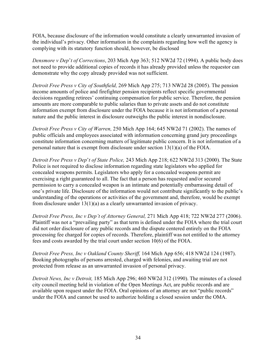FOIA, because disclosure of the information would constitute a clearly unwarranted invasion of the individual's privacy. Other information in the complaints regarding how well the agency is complying with its statutory function should, however, be disclosed

*Densmore v Dep*'*t of Corrections*, 203 Mich App 363; 512 NW2d 72 (1994). A public body does not need to provide additional copies of records it has already provided unless the requestor can demonstrate why the copy already provided was not sufficient.

*Detroit Free Press v City of Southfield,* 269 Mich App 275; 713 NW2d 28 (2005). The pension income amounts of police and firefighter pension recipients reflect specific governmental decisions regarding retirees' continuing compensation for public service. Therefore, the pension amounts are more comparable to public salaries than to private assets and do not constitute information exempt from disclosure under the FOIA because it is not information of a personal nature and the public interest in disclosure outweighs the public interest in nondisclosure.

*Detroit Free Press v City of Warren,* 250 Mich App 164; 645 NW2d 71 (2002). The names of public officials and employees associated with information concerning grand jury proceedings constitute information concerning matters of legitimate public concern. It is not information of a personal nature that is exempt from disclosure under section 13(1)(a) of the FOIA.

*Detroit Free Press v Dep*'*t of State Police,* 243 Mich App 218; 622 NW2d 313 (2000). The State Police is not required to disclose information regarding state legislators who applied for concealed weapons permits. Legislators who apply for a concealed weapons permit are exercising a right guaranteed to all. The fact that a person has requested and/or secured permission to carry a concealed weapon is an intimate and potentially embarrassing detail of one's private life. Disclosure of the information would not contribute significantly to the public's understanding of the operations or activities of the government and, therefore, would be exempt from disclosure under 13(1)(a) as a clearly unwarranted invasion of privacy.

*Detroit Free Press, Inc v Dep't of Attorney General,* 271 Mich App 418; 722 NW2d 277 (2006). Plaintiff was not a "prevailing party" as that term is defined under the FOIA where the trial court did not order disclosure of any public records and the dispute centered entirely on the FOIA processing fee charged for copies of records. Therefore, plaintiff was not entitled to the attorney fees and costs awarded by the trial court under section 10(6) of the FOIA.

*Detroit Free Press, Inc v Oakland County Sheriff,* 164 Mich App 656; 418 NW2d 124 (1987). Booking photographs of persons arrested, charged with felonies, and awaiting trial are not protected from release as an unwarranted invasion of personal privacy.

*Detroit News, Inc v Detroit,* 185 Mich App 296; 460 NW2d 312 (1990). The minutes of a closed city council meeting held in violation of the Open Meetings Act, are public records and are available upon request under the FOIA. Oral opinions of an attorney are not "public records" under the FOIA and cannot be used to authorize holding a closed session under the OMA.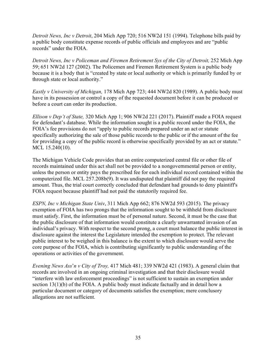*Detroit News, Inc v Detroit*, 204 Mich App 720; 516 NW2d 151 (1994). Telephone bills paid by a public body constitute expense records of public officials and employees and are "public records" under the FOIA.

*Detroit News, Inc v Policeman and Firemen Retirement Sys of the City of Detroit, 252 Mich App* 59; 651 NW2d 127 (2002). The Policemen and Firemen Retirement System is a public body because it is a body that is "created by state or local authority or which is primarily funded by or through state or local authority."

*Eastly v University of Michigan,* 178 Mich App 723; 444 NW2d 820 (1989). A public body must have in its possession or control a copy of the requested document before it can be produced or before a court can order its production.

*Ellison v Dep't of State,* 320 Mich App 1; 906 NW2d 221 (2017). Plaintiff made a FOIA request for defendant's database. While the information sought is a public record under the FOIA, the FOIA's fee provisions do not "apply to public records prepared under an act or statute specifically authorizing the sale of those public records to the public or if the amount of the fee for providing a copy of the public record is otherwise specifically provided by an act or statute." MCL 15.240(10).

The Michigan Vehicle Code provides that an entire computerized central file or other file of records maintained under this act shall not be provided to a nongovernmental person or entity, unless the person or entity pays the prescribed fee for each individual record contained within the computerized file. MCL 257.208b(9). It was undisputed that plaintiff did not pay the required amount. Thus, the trial court correctly concluded that defendant had grounds to deny plaintiff's FOIA request because plaintiff had not paid the statutorily required fee.

*ESPN, Inc v Michigan State Univ*, 311 Mich App 662; 876 NW2d 593 (2015). The privacy exemption of FOIA has two prongs that the information sought to be withheld from disclosure must satisfy. First, the information must be of personal nature. Second, it must be the case that the public disclosure of that information would constitute a clearly unwarranted invasion of an individual's privacy. With respect to the second prong, a court must balance the public interest in disclosure against the interest the Legislature intended the exemption to protect. The relevant public interest to be weighed in this balance is the extent to which disclosure would serve the core purpose of the FOIA, which is contributing significantly to public understanding of the operations or activities of the government.

*Evening News Ass*'*n v City of Troy,* 417 Mich 481; 339 NW2d 421 (1983). A general claim that records are involved in an ongoing criminal investigation and that their disclosure would "interfere with law enforcement proceedings" is not sufficient to sustain an exemption under section 13(1)(b) of the FOIA. A public body must indicate factually and in detail how a particular document or category of documents satisfies the exemption; mere conclusory allegations are not sufficient.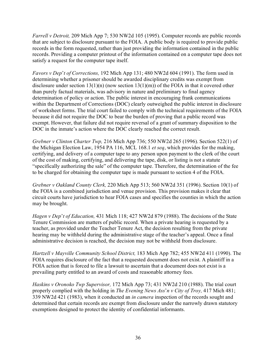*Farrell v Detroit,* 209 Mich App 7; 530 NW2d 105 (1995). Computer records are public records that are subject to disclosure pursuant to the FOIA. A public body is required to provide public records in the form requested, rather than just providing the information contained in the public records. Providing a computer printout of the information contained on a computer tape does not satisfy a request for the computer tape itself.

*Favors v Dep*'*t of Corrections,* 192 Mich App 131; 480 NW2d 604 (1991). The form used in determining whether a prisoner should be awarded disciplinary credits was exempt from disclosure under section  $13(1)(n)$  (now section  $13(1)(m)$ ) of the FOIA in that it covered other than purely factual materials, was advisory in nature and preliminary to final agency determination of policy or action. The public interest in encouraging frank communications within the Department of Corrections (DOC) clearly outweighed the public interest in disclosure of worksheet forms. The trial court failed to comply with the technical requirements of the FOIA because it did not require the DOC to bear the burden of proving that a public record was exempt. However, that failure did not require reversal of a grant of summary disposition to the DOC in the inmate's action where the DOC clearly reached the correct result.

*Grebner v Clinton Charter Twp,* 216 Mich App 736; 550 NW2d 265 (1996). Section 522(1) of the Michigan Election Law, 1954 PA 116, MCL 168.1 *et seq*, which provides for the making, certifying, and delivery of a computer tape to any person upon payment to the clerk of the court of the cost of making, certifying, and delivering the tape, disk, or listing is not a statute "specifically authorizing the sale" of the computer tape. Therefore, the determination of the fee to be charged for obtaining the computer tape is made pursuant to section 4 of the FOIA.

*Grebner v Oakland County Clerk,* 220 Mich App 513; 560 NW2d 351 (1996). Section 10(1) of the FOIA is a combined jurisdiction and venue provision. This provision makes it clear that circuit courts have jurisdiction to hear FOIA cases and specifies the counties in which the action may be brought.

*Hagen v Dep*'*t of Education,* 431 Mich 118; 427 NW2d 879 (1988). The decisions of the State Tenure Commission are matters of public record. When a private hearing is requested by a teacher, as provided under the Teacher Tenure Act, the decision resulting from the private hearing may be withheld during the administrative stage of the teacher's appeal. Once a final administrative decision is reached, the decision may not be withheld from disclosure.

*Hartzell v Mayville Community School District,* 183 Mich App 782; 455 NW2d 411 (1990). The FOIA requires disclosure of the fact that a requested document does not exist. A plaintiff in a FOIA action that is forced to file a lawsuit to ascertain that a document does not exist is a prevailing party entitled to an award of costs and reasonable attorney fees.

*Haskins v Oronoko Twp Supervisor,* 172 Mich App 73; 431 NW2d 210 (1988). The trial court properly complied with the holding in *The Evening News Ass*'*n v City of Troy,* 417 Mich 481; 339 NW2d 421 (1983), when it conducted an *in camera* inspection of the records sought and determined that certain records are exempt from disclosure under the narrowly drawn statutory exemptions designed to protect the identity of confidential informants.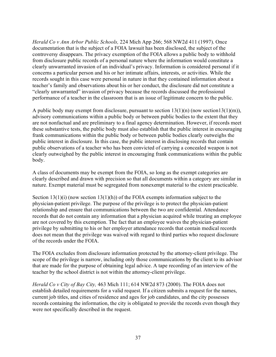*Herald Co v Ann Arbor Public Schools,* 224 Mich App 266; 568 NW2d 411 (1997). Once documentation that is the subject of a FOIA lawsuit has been disclosed, the subject of the controversy disappears. The privacy exemption of the FOIA allows a public body to withhold from disclosure public records of a personal nature where the information would constitute a clearly unwarranted invasion of an individual's privacy. Information is considered personal if it concerns a particular person and his or her intimate affairs, interests, or activities. While the records sought in this case were personal in nature in that they contained information about a teacher's family and observations about his or her conduct, the disclosure did not constitute a "clearly unwarranted" invasion of privacy because the records discussed the professional performance of a teacher in the classroom that is an issue of legitimate concern to the public.

A public body may exempt from disclosure, pursuant to section  $13(1)(n)$  (now section  $13(1)(m)$ ), advisory communications within a public body or between public bodies to the extent that they are not nonfactual and are preliminary to a final agency determination. However, if records meet these substantive tests, the public body must also establish that the public interest in encouraging frank communications within the public body or between public bodies clearly outweighs the public interest in disclosure. In this case, the public interest in disclosing records that contain public observations of a teacher who has been convicted of carrying a concealed weapon is not clearly outweighed by the public interest in encouraging frank communications within the public body.

A class of documents may be exempt from the FOIA, so long as the exempt categories are clearly described and drawn with precision so that all documents within a category are similar in nature. Exempt material must be segregated from nonexempt material to the extent practicable.

Section  $13(1)(i)$  (now section  $13(1)(h)$ ) of the FOIA exempts information subject to the physician-patient privilege. The purpose of the privilege is to protect the physician-patient relationship and ensure that communications between the two are confidential. Attendance records that do not contain any information that a physician acquired while treating an employee are not covered by this exemption. The fact that an employee waives the physician-patient privilege by submitting to his or her employer attendance records that contain medical records does not mean that the privilege was waived with regard to third parties who request disclosure of the records under the FOIA.

The FOIA excludes from disclosure information protected by the attorney-client privilege. The scope of the privilege is narrow, including only those communications by the client to its advisor that are made for the purpose of obtaining legal advice. A tape recording of an interview of the teacher by the school district is not within the attorney-client privilege.

*Herald Co v City of Bay City,* 463 Mich 111; 614 NW2d 873 (2000). The FOIA does not establish detailed requirements for a valid request. If a citizen submits a request for the names, current job titles, and cities of residence and ages for job candidates, and the city possesses records containing the information, the city is obligated to provide the records even though they were not specifically described in the request.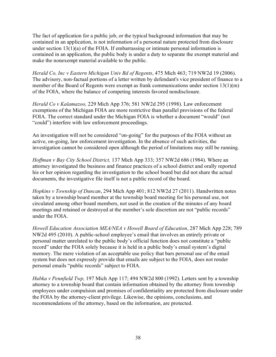The fact of application for a public job, or the typical background information that may be contained in an application, is not information of a personal nature protected from disclosure under section 13(1)(a) of the FOIA. If embarrassing or intimate personal information is contained in an application, the public body is under a duty to separate the exempt material and make the nonexempt material available to the public.

*Herald Co, Inc v Eastern Michigan Univ Bd of Regents*, 475 Mich 463; 719 NW2d 19 (2006). The advisory, non-factual portions of a letter written by defendant's vice president of finance to a member of the Board of Regents were exempt as frank communications under section 13(1)(m) of the FOIA, where the balance of competing interests favored nondisclosure.

*Herald Co v Kalamazoo,* 229 Mich App 376; 581 NW2d 295 (1998). Law enforcement exemptions of the Michigan FOIA are more restrictive than parallel provisions of the federal FOIA. The correct standard under the Michigan FOIA is whether a document "would" (not "could") interfere with law enforcement proceedings.

An investigation will not be considered "on-going" for the purposes of the FOIA without an active, on-going, law enforcement investigation. In the absence of such activities, the investigation cannot be considered open although the period of limitations may still be running.

*Hoffman v Bay City School District,* 137 Mich App 333; 357 NW2d 686 (1984). Where an attorney investigated the business and finance practices of a school district and orally reported his or her opinion regarding the investigation to the school board but did not share the actual documents, the investigative file itself is not a public record of the board.

*Hopkins v Township of Duncan*, 294 Mich App 401; 812 NW2d 27 (2011). Handwritten notes taken by a township board member at the township board meeting for his personal use, not circulated among other board members, not used in the creation of the minutes of any board meetings and retained or destroyed at the member's sole discretion are not "public records" under the FOIA.

*Howell Education Association MEA/NEA v Howell Board of Education*, 287 Mich App 228; 789 NW2d 495 (2010). A public-school employee's email that involves an entirely private or personal matter unrelated to the public body's official function does not constitute a "public record" under the FOIA solely because it is held in a public body's email system's digital memory. The mere violation of an acceptable use policy that bars personal use of the email system but does not expressly provide that emails are subject to the FOIA, does not render personal emails "public records" subject to FOIA.

*Hubka v Pennfield Twp,* 197 Mich App 117; 494 NW2d 800 (1992). Letters sent by a township attorney to a township board that contain information obtained by the attorney from township employees under compulsion and promises of confidentiality are protected from disclosure under the FOIA by the attorney-client privilege. Likewise, the opinions, conclusions, and recommendations of the attorney, based on the information, are protected.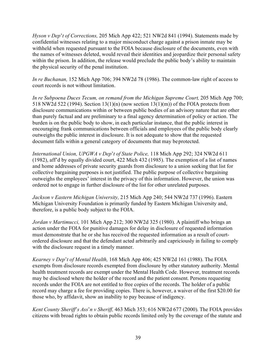*Hyson v Dep*'*t of Corrections,* 205 Mich App 422; 521 NW2d 841 (1994). Statements made by confidential witnesses relating to a major misconduct charge against a prison inmate may be withheld when requested pursuant to the FOIA because disclosure of the documents, even with the names of witnesses deleted, would reveal their identities and jeopardize their personal safety within the prison. In addition, the release would preclude the public body's ability to maintain the physical security of the penal institution.

*In re Buchanan,* 152 Mich App 706; 394 NW2d 78 (1986). The common-law right of access to court records is not without limitation.

*In re Subpoena Duces Tecum, on remand from the Michigan Supreme Court,* 205 Mich App 700; 518 NW2d 522 (1994). Section  $13(1)(n)$  (now section  $13(1)(m)$ ) of the FOIA protects from disclosure communications within or between public bodies of an advisory nature that are other than purely factual and are preliminary to a final agency determination of policy or action. The burden is on the public body to show, in each particular instance, that the public interest in encouraging frank communications between officials and employees of the public body clearly outweighs the public interest in disclosure. It is not adequate to show that the requested document falls within a general category of documents that may beprotected.

*International Union, UPGWA v Dep*'*t of State Police,* 118 Mich App 292; 324 NW2d 611 (1982), aff'd by equally divided court, 422 Mich 432 (1985). The exemption of a list of names and home addresses of private security guards from disclosure to a union seeking that list for collective bargaining purposes is not justified. The public purpose of collective bargaining outweighs the employees' interest in the privacy of this information. However, the union was ordered not to engage in further disclosure of the list for other unrelated purposes.

*Jackson v Eastern Michigan University,* 215 Mich App 240; 544 NW2d 737 (1996). Eastern Michigan University Foundation is primarily funded by Eastern Michigan University and, therefore, is a public body subject to the FOIA.

*Jordan v Martimucci,* 101 Mich App 212; 300 NW2d 325 (1980). A plaintiff who brings an action under the FOIA for punitive damages for delay in disclosure of requested information must demonstrate that he or she has received the requested information as a result of courtordered disclosure and that the defendant acted arbitrarily and capriciously in failing to comply with the disclosure request in a timely manner.

*Kearney v Dep*'*t of Mental Health,* 168 Mich App 406; 425 NW2d 161 (1988). The FOIA exempts from disclosure records exempted from disclosure by other statutory authority. Mental health treatment records are exempt under the Mental Health Code. However, treatment records may be disclosed where the holder of the record and the patient consent. Persons requesting records under the FOIA are not entitled to free copies of the records. The holder of a public record may charge a fee for providing copies. There is, however, a waiver of the first \$20.00 for those who, by affidavit, show an inability to pay because of indigency.

*Kent County Sheriff*'*s Ass*'*n v Sheriff,* 463 Mich 353; 616 NW2d 677 (2000). The FOIA provides citizens with broad rights to obtain public records limited only by the coverage of the statute and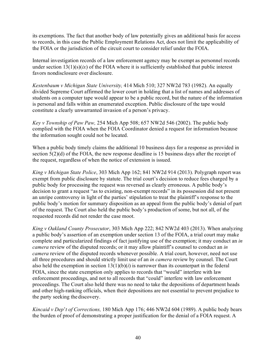its exemptions. The fact that another body of law potentially gives an additional basis for access to records, in this case the Public Employment Relations Act, does not limit the applicability of the FOIA or the jurisdiction of the circuit court to consider relief under the FOIA.

Internal investigation records of a law enforcement agency may be exempt as personnel records under section  $13(1)(s)(ix)$  of the FOIA where it is sufficiently established that public interest favors nondisclosure over disclosure.

*Kestenbaum v Michigan State University,* 414 Mich 510; 327 NW2d 783 (1982). An equally divided Supreme Court affirmed the lower court in holding that a list of names and addresses of students on a computer tape would appear to be a public record, but the nature of the information is personal and falls within an enumerated exception. Public disclosure of the tape would constitute a clearly unwarranted invasion of a person's privacy.

*Key v Township of Paw Paw,* 254 Mich App 508; 657 NW2d 546 (2002). The public body complied with the FOIA when the FOIA Coordinator denied a request for information because the information sought could not be located.

When a public body timely claims the additional 10 business days for a response as provided in section 5(2)(d) of the FOIA, the new response deadline is 15 business days after the receipt of the request, regardless of when the notice of extension is issued.

*King v Michigan State Police*, 303 Mich App 162; 841 NW2d 914 (2013). Polygraph report was exempt from public disclosure by statute. The trial court's decision to reduce fees charged by a public body for processing the request was reversed as clearly erroneous. A public body's decision to grant a request "as to existing, non-exempt records" in its possession did not present an unripe controversy in light of the parties' stipulation to treat the plaintiff's response to the public body's motion for summary disposition as an appeal from the public body's denial of part of the request. The Court also held the public body's production of some, but not all, of the requested records did not render the case moot.

*King v Oakland County Prosecutor*, 303 Mich App 222; 842 NW2d 403 (2013). When analyzing a public body's assertion of an exemption under section 13 of the FOIA, a trial court may make complete and particularized findings of fact justifying use of the exemption; it may conduct an *in camera* review of the disputed records; or it may allow plaintiff's counsel to conduct an *in camera* review of the disputed records whenever possible. A trial court, however, need not use all three procedures and should strictly limit use of an *in camera* review by counsel. The Court also held the exemption in section  $13(1)(b)(i)$  is narrower than its counterpart in the federal FOIA, since the state exemption only applies to records that "would" interfere with law enforcement proceedings, and not to all records that "could" interfere with law enforcement proceedings. The Court also held there was no need to take the depositions of department heads and other high-ranking officials, when their depositions are not essential to prevent prejudice to the party seeking the discovery.

*Kincaid v Dep*'*t of Corrections,* 180 Mich App 176; 446 NW2d 604 (1989). A public body bears the burden of proof of demonstrating a proper justification for the denial of a FOIA request. A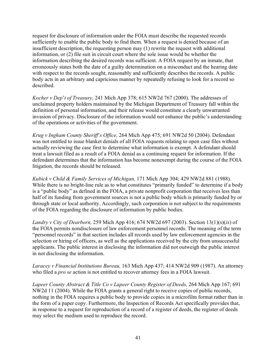request for disclosure of information under the FOIA must describe the requested records sufficiently to enable the public body to find them. When a request is denied because of an insufficient description, the requesting person may (1) rewrite the request with additional information, or (2) file suit in circuit court where the sole issue would be whether the information describing the desired records was sufficient. A FOIA request by an inmate, that erroneously states both the date of a guilty determination on a misconduct and the hearing date with respect to the records sought, reasonably and sufficiently describes the records. A public body acts in an arbitrary and capricious manner by repeatedly refusing to look for a record so described.

*Kocher v Dep*'*t of Treasury,* 241 Mich App 378; 615 NW2d 767 (2000). The addresses of unclaimed property holders maintained by the Michigan Department of Treasury fall within the definition of personal information, and their release would constitute a clearly unwarranted invasion of privacy. Disclosure of the information would not enhance the public's understanding of the operations or activities of the government.

*Krug v Ingham County Sheriff*'*s Office,* 264 Mich App 475; 691 NW2d 50 (2004). Defendant was not entitled to issue blanket denials of all FOIA requests relating to open case files without actually reviewing the case first to determine what information is exempt. A defendant should treat a lawsuit filed as a result of a FOIA denial as a continuing request for information. If the defendant determines that the information has become nonexempt during the course of the FOIA litigation, the records should be released.

*Kubick v Child & Family Services of Michigan,* 171 Mich App 304; 429 NW2d 881 (1988). While there is no bright-line rule as to what constitutes "primarily funded" to determine if a body is a "public body" as defined in the FOIA, a private nonprofit corporation that receives less than half of its funding from government sources is not a public body which is primarily funded by or through state or local authority. Accordingly, such corporation is not subject to the requirements of the FOIA regarding the disclosure of information by public bodies.

*Landry v City of Dearborn,* 259 Mich App 416; 674 NW2d 697 (2003). Section 13(1)(s)(*ix*) of the FOIA permits nondisclosure of law enforcement personnel records. The meaning of the term "personnel records" in that section includes all records used by law enforcement agencies in the selection or hiring of officers, as well as the applications received by the city from unsuccessful applicants. The public interest in disclosing the information did not outweigh the public interest in not disclosing the information.

*Laracey v Financial Institutions Bureau,* 163 Mich App 437; 414 NW2d 909 (1987). An attorney who filed a *pro se* action is not entitled to recover attorney fees in a FOIA lawsuit.

*Lapeer County Abstract & Title Co v Lapeer County Register of Deeds,* 264 Mich App 167; 691 NW2d 11 (2004). While the FOIA grants a general right to receive copies of public records, nothing in the FOIA requires a public body to provide copies in a microfilm format rather than in the form of a paper copy. Furthermore, the Inspection of Records Act specifically provides that, in response to a request for reproduction of a record of a register of deeds, the register of deeds may select the medium used to reproduce the record.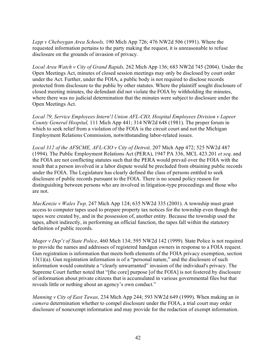*Lepp v Cheboygan Area Schools,* 190 Mich App 726; 476 NW2d 506 (1991). Where the requested information pertains to the party making the request, it is unreasonable to refuse disclosure on the grounds of invasion of privacy.

*Local Area Watch v City of Grand Rapids,* 262 Mich App 136; 683 NW2d 745 (2004). Under the Open Meetings Act, minutes of closed session meetings may only be disclosed by court order under the Act. Further, under the FOIA, a public body is not required to disclose records protected from disclosure to the public by other statutes. Where the plaintiff sought disclosure of closed meeting minutes, the defendant did not violate the FOIA by withholding the minutes, where there was no judicial determination that the minutes were subject to disclosure under the Open Meetings Act.

*Local 79, Service Employees Intern*'*l Union AFL-CIO, Hospital Employees Division v Lapeer County General Hospital,* 111 Mich App 441; 314 NW2d 648 (1981). The proper forum in which to seek relief from a violation of the FOIA is the circuit court and not the Michigan Employment Relations Commission, notwithstanding labor-related issues.

*Local 312 of the AFSCME, AFL-CIO v City of Detroit,* 207 Mich App 472; 525 NW2d 487 (1994). The Public Employment Relations Act (PERA), 1947 PA 336, MCL 423.201 *et seq,* and the FOIA are not conflicting statutes such that the PERA would prevail over the FOIA with the result that a person involved in a labor dispute would be precluded from obtaining public records under the FOIA. The Legislature has clearly defined the class of persons entitled to seek disclosure of public records pursuant to the FOIA. There is no sound policy reason for distinguishing between persons who are involved in litigation-type proceedings and those who are not.

*MacKenzie v Wales Twp,* 247 Mich App 124; 635 NW2d 335 (2001). A township must grant access to computer tapes used to prepare property tax notices for the township even though the tapes were created by, and in the possession of, another entity. Because the township used the tapes, albeit indirectly, in performing an official function, the tapes fall within the statutory definition of public records.

*Mager v Dep*'*t of State Police*, 460 Mich 134; 595 NW2d 142 (1999). State Police is not required to provide the names and addresses of registered handgun owners in response to a FOIA request. Gun registration is information that meets both elements of the FOIA privacy exemption, section 13(1)(a). Gun registration information is of a "personal nature," and the disclosure of such information would constitute a "clearly unwarranted" invasion of the individual's privacy. The Supreme Court further noted that "[the core] purpose [of the FOIA] is not fostered by disclosure of information about private citizens that is accumulated in various governmental files but that reveals little or nothing about an agency's own conduct."

*Manning v City of East Tawas,* 234 Mich App 244; 593 NW2d 649 (1999). When making an *in camera* determination whether to compel disclosure under the FOIA, a trial court may order disclosure of nonexempt information and may provide for the redaction of exempt information.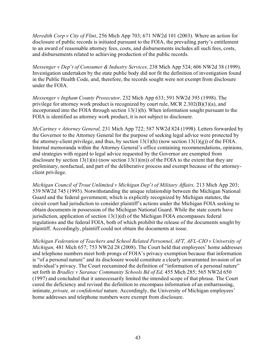*Meredith Corp v City of Flint*, 256 Mich App 703; 671 NW2d 101 (2003). Where an action for disclosure of public records is initiated pursuant to the FOIA, the prevailing party's entitlement to an award of reasonable attorney fees, costs, and disbursements includes all such fees, costs, and disbursements related to achieving production of the public records.

*Messenger v Dep*'*t of Consumer & Industry Services,* 238 Mich App 524; 606 NW2d 38 (1999). Investigation undertaken by the state public body did not fit the definition of investigation found in the Public Health Code, and, therefore, the records sought were not exempt from disclosure under the FOIA.

*Messenger v Ingham County Prosecutor,* 232 Mich App 633; 591 NW2d 393 (1998). The privilege for attorney work product is recognized by court rule, MCR 2.302(B)(3)(a), and incorporated into the FOIA through section 13(1)(h). When information sought pursuant to the FOIA is identified as attorney work product, it is not subject to disclosure.

*McCartney v Attorney General,* 231 Mich App 722; 587 NW2d 824 (1998). Letters forwarded by the Governor to the Attorney General for the purpose of seeking legal advice were protected by the attorney-client privilege, and thus, by section  $13(1)(h)$  (now section  $13(1)(g)$ ) of the FOIA. Internal memoranda within the Attorney General's office containing recommendations, opinions, and strategies with regard to legal advice requested by the Governor are exempted from disclosure by section  $13(1)(n)$  (now section  $13(1)(m)$ ) of the FOIA to the extent that they are preliminary, nonfactual, and part of the deliberative process and exempt because of the attorneyclient privilege.

*Michigan Council of Trout Unlimited v Michigan Dep*'*t of Military Affairs,* 213 Mich App 203; 539 NW2d 745 (1995). Notwithstanding the unique relationship between the Michigan National Guard and the federal government, which is explicitly recognized by Michigan statutes, the circuit court had jurisdiction to consider plaintiff's actions under the Michigan FOIA seeking to obtain documents in possession of the Michigan National Guard. While the state courts have jurisdiction, application of section 13(1)(d) of the Michigan FOIA encompasses federal regulations and the federal FOIA, both of which prohibit the release of the documents sought by plaintiff. Accordingly, plaintiff could not obtain the documents at issue.

*Michigan Federation of Teachers and School Related Personnel, AFT, AFL-CIO v University of Michigan,* 481 Mich 657; 753 NW2d 28 (2008). The Court held that employees' home addresses and telephone numbers meet both prongs of FOIA's privacy exemption because that information is "of a personal nature" and its disclosure would constitute a clearly unwarranted invasion of an individual's privacy. The Court reexamined the definition of "information of a personal nature" set forth in *Bradley v Saranac Community Schools Bd of Ed,* 455 Mich 285; 565 NW2d 650 (1997) and concluded that it unnecessarily limited the intended scope of that phrase. The Court cured the deficiency and revised the definition to encompass information of an embarrassing, intimate, *private,* or *confidential* nature. Accordingly, the University of Michigan employees' home addresses and telephone numbers were exempt from disclosure.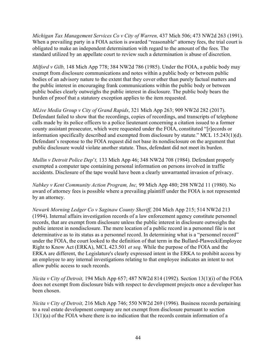*Michigan Tax Management Services Co v City of Warren,* 437 Mich 506; 473 NW2d 263 (1991). When a prevailing party in a FOIA action is awarded "reasonable" attorney fees, the trial court is obligated to make an independent determination with regard to the amount of the fees. The standard utilized by an appellate court to review such a determination is abuse of discretion.

*Milford v Gilb,* 148 Mich App 778; 384 NW2d 786 (1985). Under the FOIA, a public body may exempt from disclosure communications and notes within a public body or between public bodies of an advisory nature to the extent that they cover other than purely factual matters and the public interest in encouraging frank communications within the public body or between public bodies clearly outweighs the public interest in disclosure. The public body bears the burden of proof that a statutory exception applies to the item requested.

*MLive Media Group v City of Grand Rapids*, 321 Mich App 263; 909 NW2d 282 (2017). Defendant failed to show that the recordings, copies of recordings, and transcripts of telephone calls made by its police officers to a police lieutenant concerning a citation issued to a former county assistant prosecutor, which were requested under the FOIA, constituted "[r]ecords or information specifically described and exempted from disclosure by statute." MCL 15.243(1)(d). Defendant's response to the FOIA request did not base its nondisclosure on the argument that public disclosure would violate another statute. Thus, defendant did not meet its burden.

*Mullin v Detroit Police Dep*'*t,* 133 Mich App 46; 348 NW2d 708 (1984). Defendant properly exempted a computer tape containing personal information on persons involved in traffic accidents. Disclosure of the tape would have been a clearly unwarranted invasion of privacy.

*Nabkey v Kent Community Action Program, Inc,* 99 Mich App 480; 298 NW2d 11 (1980). No award of attorney fees is possible where a prevailing plaintiff under the FOIA is not represented by an attorney.

*Newark Morning Ledger Co v Saginaw County Sheriff,* 204 Mich App 215; 514 NW2d 213 (1994). Internal affairs investigation records of a law enforcement agency constitute personnel records, that are exempt from disclosure unless the public interest in disclosure outweighs the public interest in nondisclosure. The mere location of a public record in a personnel file is not determinative as to its status as a personnel record. In determining what is a "personnel record" under the FOIA, the court looked to the definition of that term in the Bullard-PlaweckiEmployee Right to Know Act (ERKA), MCL 423.501 *et seq.* While the purpose of the FOIA and the ERKA are different, the Legislature's clearly expressed intent in the ERKA to prohibit access by an employee to any internal investigations relating to that employee indicates an intent to not allow public access to such records.

*Nicita v City of Detroit,* 194 Mich App 657; 487 NW2d 814 (1992). Section 13(1)(i) of the FOIA does not exempt from disclosure bids with respect to development projects once a developer has been chosen.

*Nicita v City of Detroit,* 216 Mich App 746; 550 NW2d 269 (1996). Business records pertaining to a real estate development company are not exempt from disclosure pursuant to section 13(1)(a) of the FOIA where there is no indication that the records contain information of a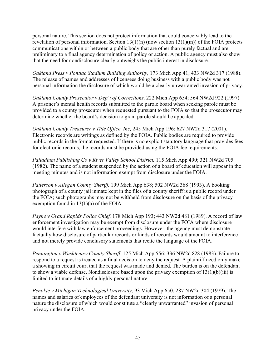personal nature. This section does not protect information that could conceivably lead to the revelation of personal information. Section  $13(1)(n)$  (now section  $13(1)(m)$ ) of the FOIA protects communications within or between a public body that are other than purely factual and are preliminary to a final agency determination of policy or action. A public agency must also show that the need for nondisclosure clearly outweighs the public interest in disclosure.

*Oakland Press v Pontiac Stadium Building Authority,* 173 Mich App 41; 433 NW2d 317 (1988). The release of names and addresses of licensees doing business with a public body was not personal information the disclosure of which would be a clearly unwarranted invasion of privacy.

*Oakland County Prosecutor v Dep*'*t of Corrections,* 222 Mich App 654; 564 NW2d 922 (1997). A prisoner's mental health records submitted to the parole board when seeking parole must be provided to a county prosecutor when requested pursuant to the FOIA so that the prosecutor may determine whether the board's decision to grant parole should be appealed.

*Oakland County Treasurer v Title Office, Inc,* 245 Mich App 196; 627 NW2d 317 (2001). Electronic records are writings as defined by the FOIA. Public bodies are required to provide public records in the format requested. If there is no explicit statutory language that provides fees for electronic records, the records must be provided using the FOIA fee requirements.

*Palladium Publishing Co v River Valley School District,* 115 Mich App 490; 321 NW2d 705 (1982). The name of a student suspended by the action of a board of education will appear in the meeting minutes and is not information exempt from disclosure under the FOIA.

*Patterson v Allegan County Sheriff,* 199 Mich App 638; 502 NW2d 368 (1993). A booking photograph of a county jail inmate kept in the files of a county sheriff is a public record under the FOIA; such photographs may not be withheld from disclosure on the basis of the privacy exemption found in 13(1)(a) of the FOIA.

*Payne v Grand Rapids Police Chief,* 178 Mich App 193; 443 NW2d 481 (1989). A record of law enforcement investigation may be exempt from disclosure under the FOIA where disclosure would interfere with law enforcement proceedings. However, the agency must demonstrate factually how disclosure of particular records or kinds of records would amount to interference and not merely provide conclusory statements that recite the language of the FOIA.

*Pennington v Washtenaw County Sheriff*, 125 Mich App 556; 336 NW2d 828 (1983). Failure to respond to a request is treated as a final decision to deny the request. A plaintiff need only make a showing in circuit court that the request was made and denied. The burden is on the defendant to show a viable defense. Nondisclosure based upon the privacy exemption of  $13(1)(b)(iii)$  is limited to intimate details of a highly personal nature.

*Penokie v Michigan Technological University,* 93 Mich App 650; 287 NW2d 304 (1979). The names and salaries of employees of the defendant university is not information of a personal nature the disclosure of which would constitute a "clearly unwarranted" invasion of personal privacy under the FOIA.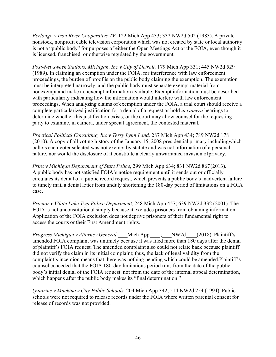*Perlongo v Iron River Cooperative TV,* 122 Mich App 433; 332 NW2d 502 (1983). A private nonstock, nonprofit cable television corporation which was not created by state or local authority is not a "public body" for purposes of either the Open Meetings Act or the FOIA, even though it is licensed, franchised, or otherwise regulated by the government.

*Post-Newsweek Stations, Michigan, Inc v City of Detroit,* 179 Mich App 331; 445 NW2d 529 (1989). In claiming an exemption under the FOIA, for interference with law enforcement proceedings, the burden of proof is on the public body claiming the exemption. The exemption must be interpreted narrowly, and the public body must separate exempt material from nonexempt and make nonexempt information available. Exempt information must be described with particularity indicating how the information would interfere with law enforcement proceedings. When analyzing claims of exemption under the FOIA, a trial court should receive a complete particularized justification for a denial of a request or hold *in camera* hearings to determine whether this justification exists, or the court may allow counsel for the requesting party to examine, in camera, under special agreement, the contested material.

*Practical Political Consulting, Inc v Terry Lynn Land,* 287 Mich App 434; 789 NW2d 178 (2010). A copy of all voting history of the January 15, 2008 presidential primary includingwhich ballots each voter selected was not exempt by statute and was not information of a personal nature, nor would the disclosure of it constitute a clearly unwarranted invasion ofprivacy.

*Prins v Michigan Department of State Police*, 299 Mich App 634; 831 NW2d 867(2013). A public body has not satisfied FOIA's notice requirement until it sends out or officially circulates its denial of a public record request, which prevents a public body's inadvertent failure to timely mail a denial letter from unduly shortening the 180-day period of limitations on a FOIA case.

*Proctor v White Lake Twp Police Department,* 248 Mich App 457; 639 NW2d 332 (2001). The FOIA is not unconstitutional simply because it excludes prisoners from obtaining information. Application of the FOIA exclusion does not deprive prisoners of their fundamental right to access the courts or their First Amendment rights.

*Progress Michigan v Attorney General*. Mich App \_\_\_; NW2d (2018). Plaintiff's amended FOIA complaint was untimely because it was filed more than 180 days after the denial of plaintiff's FOIA request. The amended complaint also could not relate back because plaintiff did not verify the claim in its initial complaint; thus, the lack of legal validity from the complaint's inception means that there was nothing pending which could be amended.Plaintiff's counsel conceded that the FOIA 180-day limitations period runs from the date of the public body's initial denial of the FOIA request, not from the date of the internal appeal determination, which happens after the public body makes its "final determination."

*Quatrine v Mackinaw City Public Schools,* 204 Mich App 342; 514 NW2d 254 (1994). Public schools were not required to release records under the FOIA where written parental consent for release of records was not provided.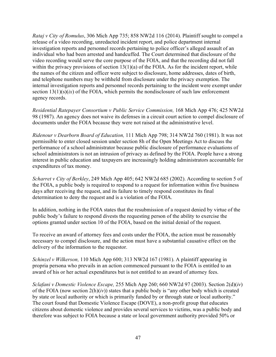*Rataj v City of Romulus*, 306 Mich App 735; 858 NW2d 116 (2014). Plaintiff sought to compel a release of a video recording, unredacted incident report, and police department internal investigation reports and personnel records pertaining to police officer's alleged assault of an individual who had been arrested and handcuffed. The Court determined that disclosure of the video recording would serve the core purpose of the FOIA, and that the recording did not fall within the privacy provisions of section  $13(1)(a)$  of the FOIA. As for the incident report, while the names of the citizen and officer were subject to disclosure, home addresses, dates of birth, and telephone numbers may be withheld from disclosure under the privacy exemption. The internal investigation reports and personnel records pertaining to the incident were exempt under section  $13(1)(s)(ix)$  of the FOIA, which permits the nondisclosure of such law enforcement agency records.

*Residential Ratepayer Consortium v Public Service Commission,* 168 Mich App 476; 425 NW2d 98 (1987). An agency does not waive its defenses in a circuit court action to compel disclosure of documents under the FOIA because they were not raised at the administrative level.

*Ridenour v Dearborn Board of Education,* 111 Mich App 798; 314 NW2d 760 (1981). It was not permissible to enter closed session under section 8h of the Open Meetings Act to discuss the performance of a school administrator because public disclosure of performance evaluations of school administrators is not an intrusion of privacy as defined by the FOIA. People have a strong interest in public education and taxpayers are increasingly holding administrators accountable for expenditures of tax money.

*Scharret v City of Berkley*, 249 Mich App 405; 642 NW2d 685 (2002). According to section 5 of the FOIA, a public body is required to respond to a request for information within five business days after receiving the request, and its failure to timely respond constitutes its final determination to deny the request and is a violation of the FOIA.

In addition, nothing in the FOIA states that the resubmission of a request denied by virtue of the public body's failure to respond divests the requesting person of the ability to exercise the options granted under section 10 of the FOIA, based on the initial denial of the request.

To receive an award of attorney fees and costs under the FOIA, the action must be reasonably necessary to compel disclosure, and the action must have a substantial causative effect on the delivery of the information to the requestor.

*Schinzel v Wilkerson,* 110 Mich App 600; 313 NW2d 167 (1981). A plaintiff appearing in propria persona who prevails in an action commenced pursuant to the FOIA is entitled to an award of his or her actual expenditures but is not entitled to an award of attorney fees.

*Sclafani v Domestic Violence Escape,* 255 Mich App 260; 660 NW2d 97 (2003). Section 2(d)(*iv*) of the FOIA (now section  $2(h)(iv)$ ) states that a public body is "any other body which is created by state or local authority or which is primarily funded by or through state or local authority." The court found that Domestic Violence Escape (DOVE), a non-profit group that educates citizens about domestic violence and provides several services to victims, was a public body and therefore was subject to FOIA because a state or local government authority provided 50% or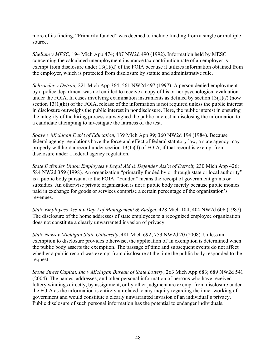more of its finding. "Primarily funded" was deemed to include funding from a single or multiple source.

*Shellum v MESC,* 194 Mich App 474; 487 NW2d 490 (1992). Information held by MESC concerning the calculated unemployment insurance tax contribution rate of an employer is exempt from disclosure under 13(1)(d) of the FOIA because it utilizes information obtained from the employer, which is protected from disclosure by statute and administrative rule.

*Schroeder v Detroit,* 221 Mich App 364; 561 NW2d 497 (1997). A person denied employment by a police department was not entitled to receive a copy of his or her psychological evaluation under the FOIA. In cases involving examination instruments as defined by section 13(1)(*l*) (now section  $13(1)(k)$  of the FOIA, release of the information is not required unless the public interest in disclosure outweighs the public interest in nondisclosure. Here, the public interest in ensuring the integrity of the hiring process outweighed the public interest in disclosing the information to a candidate attempting to investigate the fairness of the test.

*Soave v Michigan Dep*'*t of Education,* 139 Mich App 99; 360 NW2d 194 (1984). Because federal agency regulations have the force and effect of federal statutory law, a state agency may properly withhold a record under section 13(1)(d) of FOIA, if that record is exempt from disclosure under a federal agency regulation.

*State Defender Union Employees v Legal Aid & Defender Ass*'*n of Detroit,* 230 Mich App 426; 584 NW2d 359 (1998). An organization "primarily funded by or through state or local authority" is a public body pursuant to the FOIA. "Funded" means the receipt of government grants or subsidies. An otherwise private organization is not a public body merely because public monies paid in exchange for goods or services comprise a certain percentage of the organization's revenues.

*State Employees Ass*'*n v Dep't of Management & Budget*, 428 Mich 104; 404 NW2d 606 (1987). The disclosure of the home addresses of state employees to a recognized employee organization does not constitute a clearly unwarranted invasion of privacy.

*State News v Michigan State University*, 481 Mich 692; 753 NW2d 20 (2008). Unless an exemption to disclosure provides otherwise, the application of an exemption is determined when the public body asserts the exemption. The passage of time and subsequent events do not affect whether a public record was exempt from disclosure at the time the public body responded to the request.

*Stone Street Capital, Inc v Michigan Bureau of State Lottery*, 263 Mich App 683; 689 NW2d 541 (2004). The names, addresses, and other personal information of persons who have received lottery winnings directly, by assignment, or by other judgment are exempt from disclosure under the FOIA as the information is entirely unrelated to any inquiry regarding the inner working of government and would constitute a clearly unwarranted invasion of an individual's privacy. Public disclosure of such personal information has the potential to endanger individuals.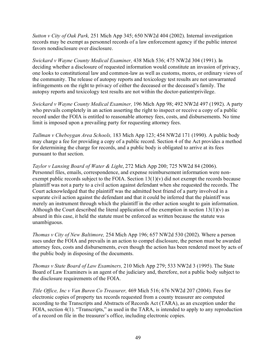*Sutton v City of Oak Park,* 251 Mich App 345; 650 NW2d 404 (2002). Internal investigation records may be exempt as personnel records of a law enforcement agency if the public interest favors nondisclosure over disclosure.

*Swickard v Wayne County Medical Examiner,* 438 Mich 536; 475 NW2d 304 (1991). In deciding whether a disclosure of requested information would constitute an invasion of privacy, one looks to constitutional law and common-law as well as customs, mores, or ordinary views of the community. The release of autopsy reports and toxicology test results are not unwarranted infringements on the right to privacy of either the deceased or the deceased's family. The autopsy reports and toxicology test results are not within the doctor-patientprivilege.

*Swickard v Wayne County Medical Examiner,* 196 Mich App 98; 492 NW2d 497 (1992). A party who prevails completely in an action asserting the right to inspect or receive a copy of a public record under the FOIA is entitled to reasonable attorney fees, costs, and disbursements. No time limit is imposed upon a prevailing party for requesting attorney fees.

*Tallman v Cheboygan Area Schools,* 183 Mich App 123; 454 NW2d 171 (1990). A public body may charge a fee for providing a copy of a public record. Section 4 of the Act provides a method for determining the charge for records, and a public body is obligated to arrive at its fees pursuant to that section.

*Taylor v Lansing Board of Water & Light*, 272 Mich App 200; 725 NW2d 84 (2006). Personnel files, emails, correspondence, and expense reimbursement information were nonexempt public records subject to the FOIA. Section  $13(1)(v)$  did not exempt the records because plaintiff was not a party to a civil action against defendant when she requested the records. The Court acknowledged that the plaintiff was the admitted best friend of a party involved in a separate civil action against the defendant and that it could be inferred that the plaintiff was merely an instrument through which the plaintiff in the other action sought to gain information. Although the Court described the literal application of the exemption in section  $13(1)(v)$  as absurd in this case, it held the statute must be enforced as written because the statute was unambiguous.

*Thomas v City of New Baltimore,* 254 Mich App 196; 657 NW2d 530 (2002). Where a person sues under the FOIA and prevails in an action to compel disclosure, the person must be awarded attorney fees, costs and disbursements, even though the action has been rendered moot by acts of the public body in disposing of the documents.

*Thomas v State Board of Law Examiners,* 210 Mich App 279; 533 NW2d 3 (1995). The State Board of Law Examiners is an agent of the judiciary and, therefore, not a public body subject to the disclosure requirements of the FOIA.

*Title Office, Inc v Van Buren Co Treasurer,* 469 Mich 516; 676 NW2d 207 (2004). Fees for electronic copies of property tax records requested from a county treasurer are computed according to the Transcripts and Abstracts of Records Act (TARA), as an exception under the FOIA, section 4(1). "Transcripts," as used in the TARA, is intended to apply to any reproduction of a record on file in the treasurer's office, including electronic copies.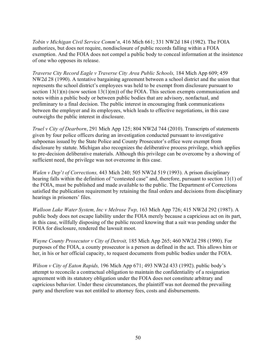*Tobin v Michigan Civil Service Comm*'*n,* 416 Mich 661; 331 NW2d 184 (1982). The FOIA authorizes, but does not require, nondisclosure of public records falling within a FOIA exemption. And the FOIA does not compel a public body to conceal information at the insistence of one who opposes its release.

*Traverse City Record Eagle v Traverse City Area Public Schools,* 184 Mich App 609; 459 NW2d 28 (1990). A tentative bargaining agreement between a school district and the union that represents the school district's employees was held to be exempt from disclosure pursuant to section  $13(1)(n)$  (now section  $13(1)(m)$ ) of the FOIA. This section exempts communication and notes within a public body or between public bodies that are advisory, nonfactual, and preliminary to a final decision. The public interest in encouraging frank communications between the employer and its employees, which leads to effective negotiations, in this case outweighs the public interest in disclosure.

*Truel v City of Dearborn*, 291 Mich App 125; 804 NW2d 744 (2010). Transcripts of statements given by four police officers during an investigation conducted pursuant to investigative subpoenas issued by the State Police and County Prosecutor's office were exempt from disclosure by statute. Michigan also recognizes the deliberative process privilege, which applies to pre-decision deliberative materials. Although this privilege can be overcome by a showing of sufficient need, the privilege was not overcome in this case.

*Walen v Dep*'*t of Corrections,* 443 Mich 240; 505 NW2d 519 (1993). A prison disciplinary hearing falls within the definition of "contested case" and, therefore, pursuant to section 11(1) of the FOIA, must be published and made available to the public. The Department of Corrections satisfied the publication requirement by retaining the final orders and decisions from disciplinary hearings in prisoners' files.

*Walloon Lake Water System, Inc v Melrose Twp,* 163 Mich App 726; 415 NW2d 292 (1987). A public body does not escape liability under the FOIA merely because a capricious act on its part, in this case, willfully disposing of the public record knowing that a suit was pending under the FOIA for disclosure, rendered the lawsuit moot.

*Wayne County Prosecutor v City of Detroit,* 185 Mich App 265; 460 NW2d 298 (1990). For purposes of the FOIA, a county prosecutor is a person as defined in the act. This allows him or her, in his or her official capacity, to request documents from public bodies under the FOIA.

*Wilson v City of Eaton Rapids,* 196 Mich App 671; 493 NW2d 433 (1992). public body's attempt to reconcile a contractual obligation to maintain the confidentiality of a resignation agreement with its statutory obligation under the FOIA does not constitute arbitrary and capricious behavior. Under these circumstances, the plaintiff was not deemed the prevailing party and therefore was not entitled to attorney fees, costs and disbursements.